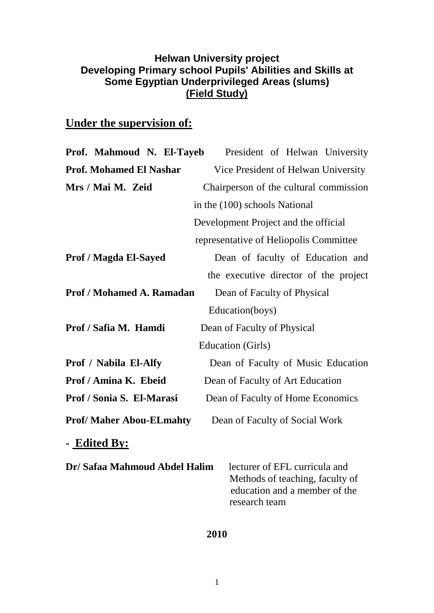## **Helwan University project Developing Primary school Pupils' Abilities and Skills at Some Egyptian Underprivileged Areas (slums) (Field Study)**

## **Under the supervision of:**

| Prof. Mahmoud N. El-Tayeb                                       | President of Helwan University                                                                                     |  |  |  |  |  |  |  |  |
|-----------------------------------------------------------------|--------------------------------------------------------------------------------------------------------------------|--|--|--|--|--|--|--|--|
| <b>Prof. Mohamed El Nashar</b>                                  | Vice President of Helwan University                                                                                |  |  |  |  |  |  |  |  |
| Mrs / Mai M. Zeid                                               | Chairperson of the cultural commission                                                                             |  |  |  |  |  |  |  |  |
|                                                                 | in the (100) schools National                                                                                      |  |  |  |  |  |  |  |  |
|                                                                 | Development Project and the official                                                                               |  |  |  |  |  |  |  |  |
|                                                                 | representative of Heliopolis Committee                                                                             |  |  |  |  |  |  |  |  |
| <b>Prof / Magda El-Sayed</b>                                    | Dean of faculty of Education and                                                                                   |  |  |  |  |  |  |  |  |
|                                                                 | the executive director of the project                                                                              |  |  |  |  |  |  |  |  |
| <b>Prof / Mohamed A. Ramadan</b><br>Dean of Faculty of Physical |                                                                                                                    |  |  |  |  |  |  |  |  |
|                                                                 | Education(boys)                                                                                                    |  |  |  |  |  |  |  |  |
| Prof / Safia M. Hamdi                                           | Dean of Faculty of Physical                                                                                        |  |  |  |  |  |  |  |  |
|                                                                 | <b>Education</b> (Girls)                                                                                           |  |  |  |  |  |  |  |  |
| <b>Prof / Nabila El-Alfy</b>                                    | Dean of Faculty of Music Education                                                                                 |  |  |  |  |  |  |  |  |
| Prof / Amina K. Ebeid                                           | Dean of Faculty of Art Education                                                                                   |  |  |  |  |  |  |  |  |
| Prof / Sonia S. El-Marasi                                       | Dean of Faculty of Home Economics                                                                                  |  |  |  |  |  |  |  |  |
| <b>Prof/Maher Abou-ELmahty</b>                                  | Dean of Faculty of Social Work                                                                                     |  |  |  |  |  |  |  |  |
| - Edited By:                                                    |                                                                                                                    |  |  |  |  |  |  |  |  |
| Dr/ Safaa Mahmoud Abdel Halim                                   | lecturer of EFL curricula and<br>Methods of teaching, faculty of<br>education and a member of the<br>research team |  |  |  |  |  |  |  |  |

## **2010**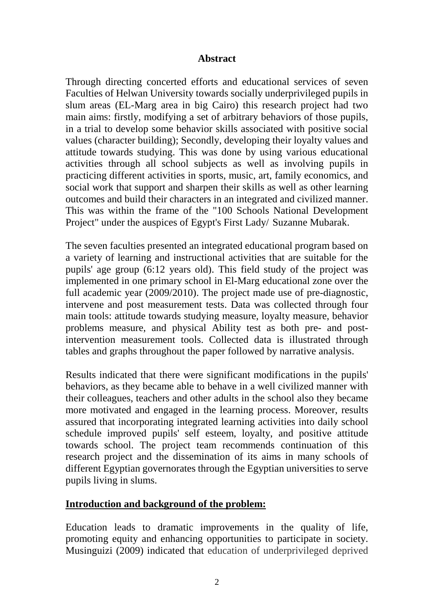## **Abstract**

Through directing concerted efforts and educational services of seven Faculties of Helwan University towards socially underprivileged pupils in slum areas (EL-Marg area in big Cairo) this research project had two main aims: firstly, modifying a set of arbitrary behaviors of those pupils, in a trial to develop some behavior skills associated with positive social values (character building); Secondly, developing their loyalty values and attitude towards studying. This was done by using various educational activities through all school subjects as well as involving pupils in practicing different activities in sports, music, art, family economics, and social work that support and sharpen their skills as well as other learning outcomes and build their characters in an integrated and civilized manner. This was within the frame of the "100 Schools National Development Project" under the auspices of Egypt's First Lady/ Suzanne Mubarak.

The seven faculties presented an integrated educational program based on a variety of learning and instructional activities that are suitable for the pupils' age group (6:12 years old). This field study of the project was implemented in one primary school in El-Marg educational zone over the full academic year (2009/2010). The project made use of pre-diagnostic, intervene and post measurement tests. Data was collected through four main tools: attitude towards studying measure, loyalty measure, behavior problems measure, and physical Ability test as both pre- and postintervention measurement tools. Collected data is illustrated through tables and graphs throughout the paper followed by narrative analysis.

Results indicated that there were significant modifications in the pupils' behaviors, as they became able to behave in a well civilized manner with their colleagues, teachers and other adults in the school also they became more motivated and engaged in the learning process. Moreover, results assured that incorporating integrated learning activities into daily school schedule improved pupils' self esteem, loyalty, and positive attitude towards school. The project team recommends continuation of this research project and the dissemination of its aims in many schools of different Egyptian governorates through the Egyptian universities to serve pupils living in slums.

## **Introduction and background of the problem:**

Education leads to dramatic improvements in the quality of life, promoting equity and enhancing opportunities to participate in society. Musinguizi (2009) indicated that education of underprivileged deprived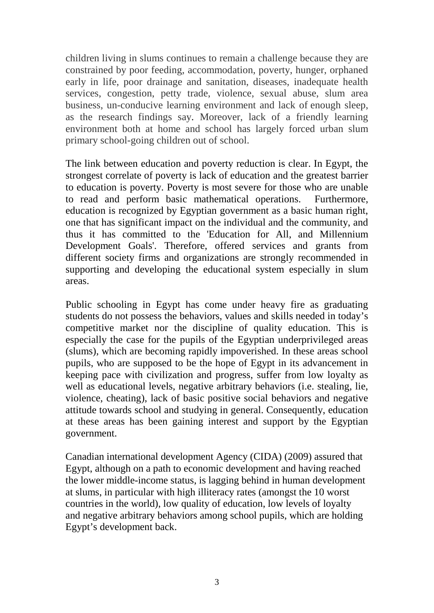children living in slums continues to remain a challenge because they are constrained by poor feeding, accommodation, poverty, hunger, orphaned early in life, poor drainage and sanitation, diseases, inadequate health services, congestion, petty trade, violence, sexual abuse, slum area business, un-conducive learning environment and lack of enough sleep, as the research findings say. Moreover, lack of a friendly learning environment both at home and school has largely forced urban slum primary school-going children out of school.

The link between education and poverty reduction is clear. In Egypt, the strongest correlate of poverty is lack of education and the greatest barrier to education is poverty. Poverty is most severe for those who are unable to read and perform basic mathematical operations. Furthermore, education is recognized by Egyptian government as a basic human right, one that has significant impact on the individual and the community, and thus it has committed to the 'Education for All, and Millennium Development Goals'. Therefore, offered services and grants from different society firms and organizations are strongly recommended in supporting and developing the educational system especially in slum areas.

Public schooling in Egypt has come under heavy fire as graduating students do not possess the behaviors, values and skills needed in today's competitive market nor the discipline of quality education. This is especially the case for the pupils of the Egyptian underprivileged areas (slums), which are becoming rapidly impoverished. In these areas school pupils, who are supposed to be the hope of Egypt in its advancement in keeping pace with civilization and progress, suffer from low loyalty as well as educational levels, negative arbitrary behaviors (i.e. stealing, lie, violence, cheating), lack of basic positive social behaviors and negative attitude towards school and studying in general. Consequently, education at these areas has been gaining interest and support by the Egyptian government.

Canadian international development Agency (CIDA) (2009) assured that Egypt, although on a path to economic development and having reached the lower middle-income status, is lagging behind in human development at slums, in particular with high illiteracy rates (amongst the 10 worst countries in the world), low quality of education, low levels of loyalty and negative arbitrary behaviors among school pupils, which are holding Egypt's development back.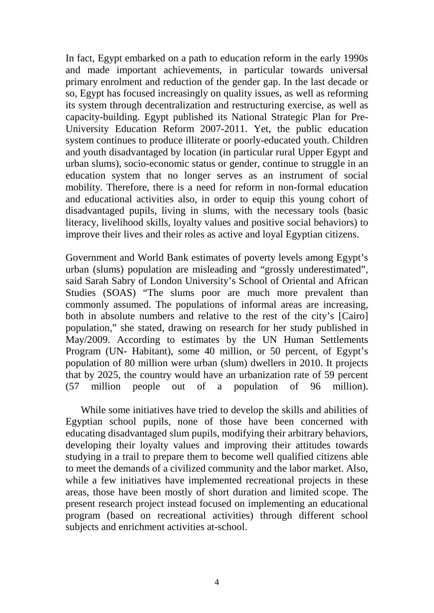In fact, Egypt embarked on a path to education reform in the early 1990s and made important achievements, in particular towards universal primary enrolment and reduction of the gender gap. In the last decade or so, Egypt has focused increasingly on quality issues, as well as reforming its system through decentralization and restructuring exercise, as well as capacity-building. Egypt published its National Strategic Plan for Pre-University Education Reform 2007-2011. Yet, the public education system continues to produce illiterate or poorly-educated youth. Children and youth disadvantaged by location (in particular rural Upper Egypt and urban slums), socio-economic status or gender, continue to struggle in an education system that no longer serves as an instrument of social mobility. Therefore, there is a need for reform in non-formal education and educational activities also, in order to equip this young cohort of disadvantaged pupils, living in slums, with the necessary tools (basic literacy, livelihood skills, loyalty values and positive social behaviors) to improve their lives and their roles as active and loyal Egyptian citizens.

Government and World Bank estimates of poverty levels among Egypt's urban (slums) population are misleading and "grossly underestimated", said Sarah Sabry of London University's School of Oriental and African Studies (SOAS) "The slums poor are much more prevalent than commonly assumed. The populations of informal areas are increasing, both in absolute numbers and relative to the rest of the city's [Cairo] population," she stated, drawing on research for her study published in May/2009. According to estimates by the UN Human Settlements Program (UN- Habitant), some 40 million, or 50 percent, of Egypt's population of 80 million were urban (slum) dwellers in 2010. It projects that by 2025, the country would have an urbanization rate of 59 percent (57 million people out of a population of 96 million).

 While some initiatives have tried to develop the skills and abilities of Egyptian school pupils, none of those have been concerned with educating disadvantaged slum pupils, modifying their arbitrary behaviors, developing their loyalty values and improving their attitudes towards studying in a trail to prepare them to become well qualified citizens able to meet the demands of a civilized community and the labor market. Also, while a few initiatives have implemented recreational projects in these areas, those have been mostly of short duration and limited scope. The present research project instead focused on implementing an educational program (based on recreational activities) through different school subjects and enrichment activities at-school.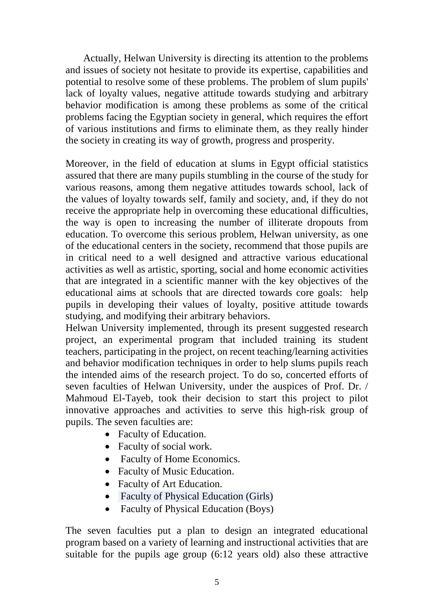Actually, Helwan University is directing its attention to the problems and issues of society not hesitate to provide its expertise, capabilities and potential to resolve some of these problems. The problem of slum pupils' lack of loyalty values, negative attitude towards studying and arbitrary behavior modification is among these problems as some of the critical problems facing the Egyptian society in general, which requires the effort of various institutions and firms to eliminate them, as they really hinder the society in creating its way of growth, progress and prosperity.

Moreover, in the field of education at slums in Egypt official statistics assured that there are many pupils stumbling in the course of the study for various reasons, among them negative attitudes towards school, lack of the values of loyalty towards self, family and society, and, if they do not receive the appropriate help in overcoming these educational difficulties, the way is open to increasing the number of illiterate dropouts from education. To overcome this serious problem, Helwan university, as one of the educational centers in the society, recommend that those pupils are in critical need to a well designed and attractive various educational activities as well as artistic, sporting, social and home economic activities that are integrated in a scientific manner with the key objectives of the educational aims at schools that are directed towards core goals: help pupils in developing their values of loyalty, positive attitude towards studying, and modifying their arbitrary behaviors.

Helwan University implemented, through its present suggested research project, an experimental program that included training its student teachers, participating in the project, on recent teaching/learning activities and behavior modification techniques in order to help slums pupils reach the intended aims of the research project. To do so, concerted efforts of seven faculties of Helwan University, under the auspices of Prof. Dr. / Mahmoud El-Tayeb, took their decision to start this project to pilot innovative approaches and activities to serve this high-risk group of pupils. The seven faculties are:

- Faculty of Education.
- Faculty of social work.
- Faculty of Home Economics.
- Faculty of Music Education.
- Faculty of Art Education.
- Faculty of Physical Education (Girls)
- Faculty of Physical Education (Boys)

The seven faculties put a plan to design an integrated educational program based on a variety of learning and instructional activities that are suitable for the pupils age group (6:12 years old) also these attractive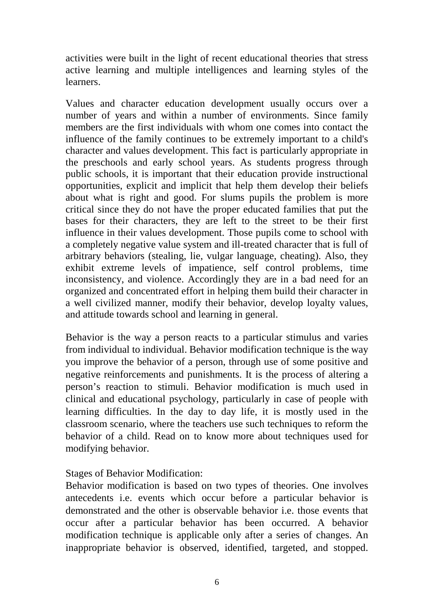activities were built in the light of recent educational theories that stress active learning and multiple intelligences and learning styles of the learners.

Values and character education development usually occurs over a number of years and within a number of environments. Since family members are the first individuals with whom one comes into contact the influence of the family continues to be extremely important to a child's character and values development. This fact is particularly appropriate in the preschools and early school years. As students progress through public schools, it is important that their education provide instructional opportunities, explicit and implicit that help them develop their beliefs about what is right and good. For slums pupils the problem is more critical since they do not have the proper educated families that put the bases for their characters, they are left to the street to be their first influence in their values development. Those pupils come to school with a completely negative value system and ill-treated character that is full of arbitrary behaviors (stealing, lie, vulgar language, cheating). Also, they exhibit extreme levels of impatience, self control problems, time inconsistency, and violence. Accordingly they are in a bad need for an organized and concentrated effort in helping them build their character in a well civilized manner, modify their behavior, develop loyalty values, and attitude towards school and learning in general.

Behavior is the way a person reacts to a particular stimulus and varies from individual to individual. Behavior modification technique is the way you improve the behavior of a person, through use of some positive and negative reinforcements and punishments. It is the process of altering a person's reaction to stimuli. Behavior modification is much used in clinical and educational psychology, particularly in case of people with learning difficulties. In the day to day life, it is mostly used in the classroom scenario, where the teachers use such techniques to reform the behavior of a child. Read on to know more about techniques used for modifying behavior.

Stages of Behavior Modification:

Behavior modification is based on two types of theories. One involves antecedents i.e. events which occur before a particular behavior is demonstrated and the other is observable behavior i.e. those events that occur after a particular behavior has been occurred. A behavior modification technique is applicable only after a series of changes. An inappropriate behavior is observed, identified, targeted, and stopped.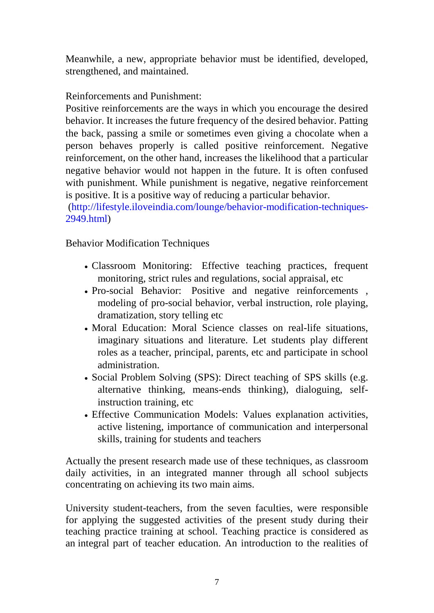Meanwhile, a new, appropriate behavior must be identified, developed, strengthened, and maintained.

Reinforcements and Punishment:

Positive reinforcements are the ways in which you encourage the desired behavior. It increases the future frequency of the desired behavior. Patting the back, passing a smile or sometimes even giving a chocolate when a person behaves properly is called positive reinforcement. Negative reinforcement, on the other hand, increases the likelihood that a particular negative behavior would not happen in the future. It is often confused with punishment. While punishment is negative, negative reinforcement is positive. It is a positive way of reducing a particular behavior.

[\(http://lifestyle.iloveindia.com/lounge/behavior-modification-techniques-](http://lifestyle.iloveindia.com/lounge/behavior-modification-techniques-2949.html)[2949.html\)](http://lifestyle.iloveindia.com/lounge/behavior-modification-techniques-2949.html)

Behavior Modification Techniques

- Classroom Monitoring: Effective teaching practices, frequent monitoring, strict rules and regulations, social appraisal, etc
- Pro-social Behavior: Positive and negative reinforcements, modeling of pro-social behavior, verbal instruction, role playing, dramatization, story telling etc
- Moral Education: Moral Science classes on real-life situations, imaginary situations and literature. Let students play different roles as a teacher, principal, parents, etc and participate in school administration.
- Social Problem Solving (SPS): Direct teaching of SPS skills (e.g. alternative thinking, means-ends thinking), dialoguing, selfinstruction training, etc
- Effective Communication Models: Values explanation activities, active listening, importance of communication and interpersonal skills, training for students and teachers

Actually the present research made use of these techniques, as classroom daily activities, in an integrated manner through all school subjects concentrating on achieving its two main aims.

University student-teachers, from the seven faculties, were responsible for applying the suggested activities of the present study during their teaching practice training at school. Teaching practice is considered as an integral part of teacher education. An introduction to the realities of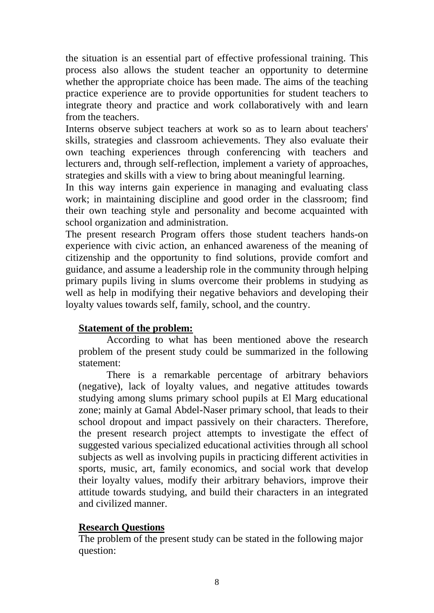the situation is an essential part of effective professional training. This process also allows the student teacher an opportunity to determine whether the appropriate choice has been made. The aims of the teaching practice experience are to provide opportunities for student teachers to integrate theory and practice and work collaboratively with and learn from the teachers.

Interns observe subject teachers at work so as to learn about teachers' skills, strategies and classroom achievements. They also evaluate their own teaching experiences through conferencing with teachers and lecturers and, through self-reflection, implement a variety of approaches, strategies and skills with a view to bring about meaningful learning.

In this way interns gain experience in managing and evaluating class work; in maintaining discipline and good order in the classroom; find their own teaching style and personality and become acquainted with school organization and administration.

The present research Program offers those student teachers hands-on experience with civic action, an enhanced awareness of the meaning of citizenship and the opportunity to find solutions, provide comfort and guidance, and assume a leadership role in the community through helping primary pupils living in slums overcome their problems in studying as well as help in modifying their negative behaviors and developing their loyalty values towards self, family, school, and the country.

## **Statement of the problem:**

 According to what has been mentioned above the research problem of the present study could be summarized in the following statement:

 There is a remarkable percentage of arbitrary behaviors (negative), lack of loyalty values, and negative attitudes towards studying among slums primary school pupils at El Marg educational zone; mainly at Gamal Abdel-Naser primary school, that leads to their school dropout and impact passively on their characters. Therefore, the present research project attempts to investigate the effect of suggested various specialized educational activities through all school subjects as well as involving pupils in practicing different activities in sports, music, art, family economics, and social work that develop their loyalty values, modify their arbitrary behaviors, improve their attitude towards studying, and build their characters in an integrated and civilized manner.

## **Research Questions**

The problem of the present study can be stated in the following major question: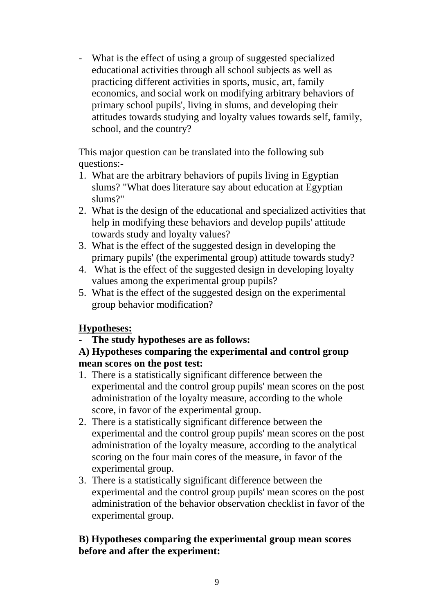- What is the effect of using a group of suggested specialized educational activities through all school subjects as well as practicing different activities in sports, music, art, family economics, and social work on modifying arbitrary behaviors of primary school pupils', living in slums, and developing their attitudes towards studying and loyalty values towards self, family, school, and the country?

This major question can be translated into the following sub questions:-

- 1. What are the arbitrary behaviors of pupils living in Egyptian slums? "What does literature say about education at Egyptian slums?"
- 2. What is the design of the educational and specialized activities that help in modifying these behaviors and develop pupils' attitude towards study and loyalty values?
- 3. What is the effect of the suggested design in developing the primary pupils' (the experimental group) attitude towards study?
- 4. What is the effect of the suggested design in developing loyalty values among the experimental group pupils?
- 5. What is the effect of the suggested design on the experimental group behavior modification?

## **Hypotheses:**

- **The study hypotheses are as follows:**

## **A) Hypotheses comparing the experimental and control group mean scores on the post test:**

- 1. There is a statistically significant difference between the experimental and the control group pupils' mean scores on the post administration of the loyalty measure, according to the whole score, in favor of the experimental group.
- 2. There is a statistically significant difference between the experimental and the control group pupils' mean scores on the post administration of the loyalty measure, according to the analytical scoring on the four main cores of the measure, in favor of the experimental group.
- 3. There is a statistically significant difference between the experimental and the control group pupils' mean scores on the post administration of the behavior observation checklist in favor of the experimental group.

## **B) Hypotheses comparing the experimental group mean scores before and after the experiment:**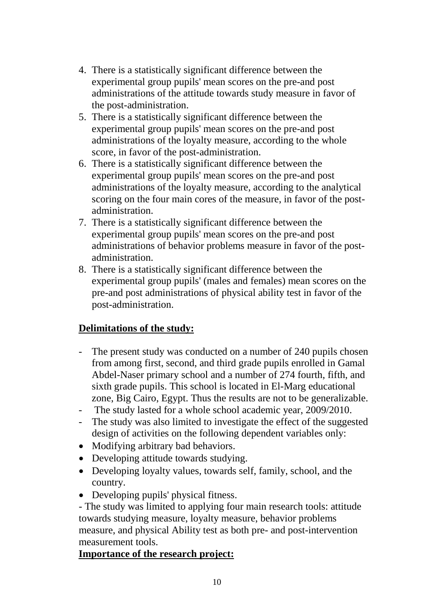- 4. There is a statistically significant difference between the experimental group pupils' mean scores on the pre-and post administrations of the attitude towards study measure in favor of the post-administration.
- 5. There is a statistically significant difference between the experimental group pupils' mean scores on the pre-and post administrations of the loyalty measure, according to the whole score, in favor of the post-administration.
- 6. There is a statistically significant difference between the experimental group pupils' mean scores on the pre-and post administrations of the loyalty measure, according to the analytical scoring on the four main cores of the measure, in favor of the postadministration.
- 7. There is a statistically significant difference between the experimental group pupils' mean scores on the pre-and post administrations of behavior problems measure in favor of the postadministration.
- 8. There is a statistically significant difference between the experimental group pupils' (males and females) mean scores on the pre-and post administrations of physical ability test in favor of the post-administration.

## **Delimitations of the study:**

- The present study was conducted on a number of 240 pupils chosen from among first, second, and third grade pupils enrolled in Gamal Abdel-Naser primary school and a number of 274 fourth, fifth, and sixth grade pupils. This school is located in El-Marg educational zone, Big Cairo, Egypt. Thus the results are not to be generalizable.
- The study lasted for a whole school academic year, 2009/2010.
- The study was also limited to investigate the effect of the suggested design of activities on the following dependent variables only:
- Modifying arbitrary bad behaviors.
- Developing attitude towards studying.
- Developing loyalty values, towards self, family, school, and the country.
- Developing pupils' physical fitness.

- The study was limited to applying four main research tools: attitude towards studying measure, loyalty measure, behavior problems measure, and physical Ability test as both pre- and post-intervention measurement tools.

## **Importance of the research project:**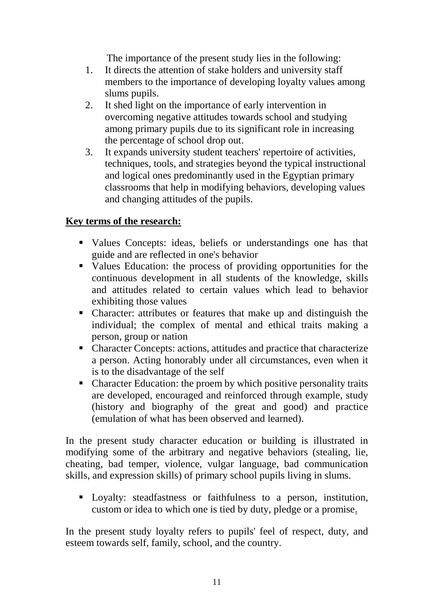The importance of the present study lies in the following:

- 1. It directs the attention of stake holders and university staff members to the importance of developing loyalty values among slums pupils.
- 2. It shed light on the importance of early intervention in overcoming negative attitudes towards school and studying among primary pupils due to its significant role in increasing the percentage of school drop out.
- 3. It expands university student teachers' repertoire of activities, techniques, tools, and strategies beyond the typical instructional and logical ones predominantly used in the Egyptian primary classrooms that help in modifying behaviors, developing values and changing attitudes of the pupils.

## **Key terms of the research:**

- Values Concepts: ideas, beliefs or understandings one has that guide and are reflected in one's behavior
- Values Education: the process of providing opportunities for the continuous development in all students of the knowledge, skills and attitudes related to certain values which lead to behavior exhibiting those values
- Character: attributes or features that make up and distinguish the individual; the complex of mental and ethical traits making a person, group or nation
- Character Concepts: actions, attitudes and practice that characterize a person. Acting honorably under all circumstances, even when it is to the disadvantage of the self
- Character Education: the proem by which positive personality traits are developed, encouraged and reinforced through example, study (history and biography of the great and good) and practice (emulation of what has been observed and learned).

In the present study character education or building is illustrated in modifying some of the arbitrary and negative behaviors (stealing, lie, cheating, bad temper, violence, vulgar language, bad communication skills, and expression skills) of primary school pupils living in slums.

 Loyalty: steadfastness or faithfulness to a person, institution, custom or idea to which one is tied by duty, pledge or a promise.

In the present study loyalty refers to pupils' feel of respect, duty, and esteem towards self, family, school, and the country.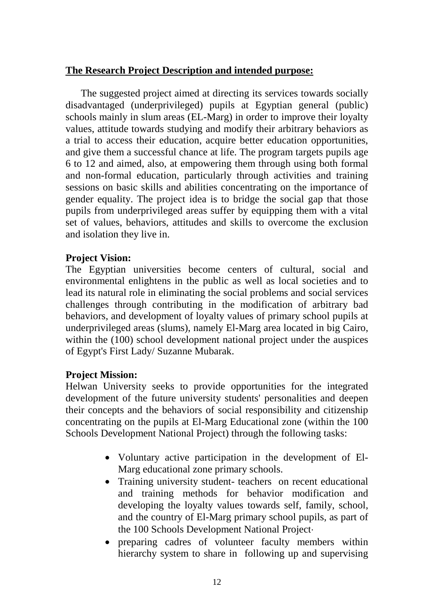## **The Research Project Description and intended purpose:**

 The suggested project aimed at directing its services towards socially disadvantaged (underprivileged) pupils at Egyptian general (public) schools mainly in slum areas (EL-Marg) in order to improve their loyalty values, attitude towards studying and modify their arbitrary behaviors as a trial to access their education, acquire better education opportunities, and give them a successful chance at life. The program targets pupils age 6 to 12 and aimed, also, at empowering them through using both formal and non-formal education, particularly through activities and training sessions on basic skills and abilities concentrating on the importance of gender equality. The project idea is to bridge the social gap that those pupils from underprivileged areas suffer by equipping them with a vital set of values, behaviors, attitudes and skills to overcome the exclusion and isolation they live in.

## **Project Vision:**

The Egyptian universities become centers of cultural, social and environmental enlightens in the public as well as local societies and to lead its natural role in eliminating the social problems and social services challenges through contributing in the modification of arbitrary bad behaviors, and development of loyalty values of primary school pupils at underprivileged areas (slums), namely El-Marg area located in big Cairo, within the (100) school development national project under the auspices of Egypt's First Lady/ Suzanne Mubarak.

## **Project Mission:**

Helwan University seeks to provide opportunities for the integrated development of the future university students' personalities and deepen their concepts and the behaviors of social responsibility and citizenship concentrating on the pupils at El-Marg Educational zone (within the 100 Schools Development National Project) through the following tasks:

- Voluntary active participation in the development of El-Marg educational zone primary schools.
- Training university student-teachers on recent educational and training methods for behavior modification and developing the loyalty values towards self, family, school, and the country of El-Marg primary school pupils, as part of the 100 Schools Development National Project⋅
- preparing cadres of volunteer faculty members within hierarchy system to share in following up and supervising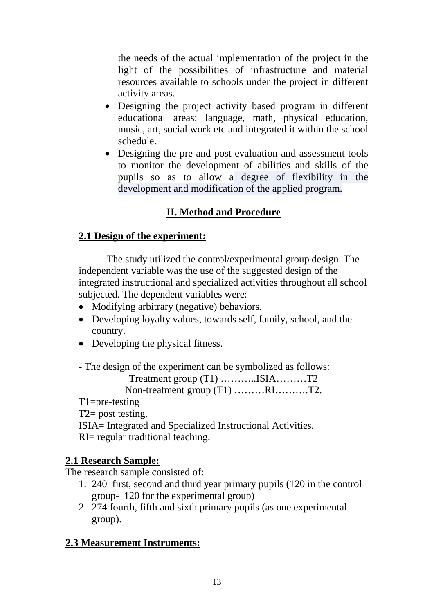the needs of the actual implementation of the project in the light of the possibilities of infrastructure and material resources available to schools under the project in different activity areas.

- Designing the project activity based program in different educational areas: language, math, physical education, music, art, social work etc and integrated it within the school schedule.
- Designing the pre and post evaluation and assessment tools to monitor the development of abilities and skills of the pupils so as to allow a degree of flexibility in the development and modification of the applied program.

## **II. Method and Procedure**

## **2.1 Design of the experiment:**

 The study utilized the control/experimental group design. The independent variable was the use of the suggested design of the integrated instructional and specialized activities throughout all school subjected. The dependent variables were:

- Modifying arbitrary (negative) behaviors.
- Developing loyalty values, towards self, family, school, and the country.
- Developing the physical fitness.

- The design of the experiment can be symbolized as follows:

Treatment group (T1) ………..ISIA………T2

Non-treatment group (T1) ………RI……….T2.

T1=pre-testing

 $T2$ = post testing.

ISIA= Integrated and Specialized Instructional Activities. RI= regular traditional teaching.

## **2.1 Research Sample:**

The research sample consisted of:

- 1. 240 first, second and third year primary pupils (120 in the control group- 120 for the experimental group)
- 2. 274 fourth, fifth and sixth primary pupils (as one experimental group).

## **2.3 Measurement Instruments:**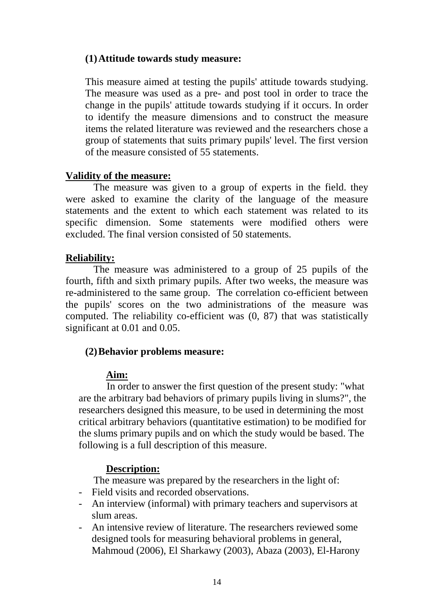### **(1)Attitude towards study measure:**

This measure aimed at testing the pupils' attitude towards studying. The measure was used as a pre- and post tool in order to trace the change in the pupils' attitude towards studying if it occurs. In order to identify the measure dimensions and to construct the measure items the related literature was reviewed and the researchers chose a group of statements that suits primary pupils' level. The first version of the measure consisted of 55 statements.

### **Validity of the measure:**

 The measure was given to a group of experts in the field. they were asked to examine the clarity of the language of the measure statements and the extent to which each statement was related to its specific dimension. Some statements were modified others were excluded. The final version consisted of 50 statements.

### **Reliability:**

 The measure was administered to a group of 25 pupils of the fourth, fifth and sixth primary pupils. After two weeks, the measure was re-administered to the same group. The correlation co-efficient between the pupils' scores on the two administrations of the measure was computed. The reliability co-efficient was (0, 87) that was statistically significant at 0.01 and 0.05.

## **(2)Behavior problems measure:**

## **Aim:**

 In order to answer the first question of the present study: "what are the arbitrary bad behaviors of primary pupils living in slums?", the researchers designed this measure, to be used in determining the most critical arbitrary behaviors (quantitative estimation) to be modified for the slums primary pupils and on which the study would be based. The following is a full description of this measure.

## **Description:**

The measure was prepared by the researchers in the light of:

- Field visits and recorded observations.
- An interview (informal) with primary teachers and supervisors at slum areas.
- An intensive review of literature. The researchers reviewed some designed tools for measuring behavioral problems in general, Mahmoud (2006), El Sharkawy (2003), Abaza (2003), El-Harony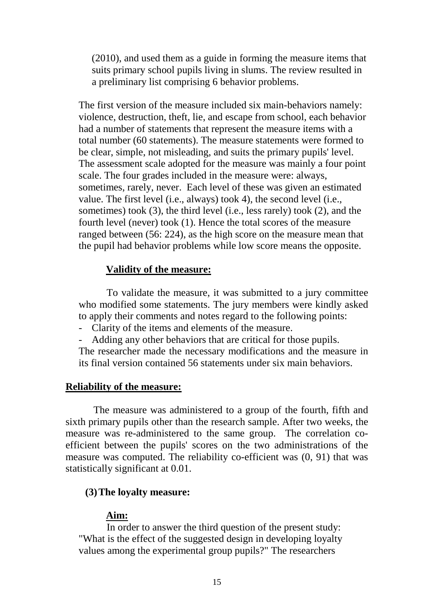(2010), and used them as a guide in forming the measure items that suits primary school pupils living in slums. The review resulted in a preliminary list comprising 6 behavior problems.

The first version of the measure included six main-behaviors namely: violence, destruction, theft, lie, and escape from school, each behavior had a number of statements that represent the measure items with a total number (60 statements). The measure statements were formed to be clear, simple, not misleading, and suits the primary pupils' level. The assessment scale adopted for the measure was mainly a four point scale. The four grades included in the measure were: always, sometimes, rarely, never. Each level of these was given an estimated value. The first level (i.e., always) took 4), the second level (i.e., sometimes) took (3), the third level (i.e., less rarely) took (2), and the fourth level (never) took (1). Hence the total scores of the measure ranged between (56: 224), as the high score on the measure mean that the pupil had behavior problems while low score means the opposite.

#### **Validity of the measure:**

 To validate the measure, it was submitted to a jury committee who modified some statements. The jury members were kindly asked to apply their comments and notes regard to the following points:

- Clarity of the items and elements of the measure.
- Adding any other behaviors that are critical for those pupils.

The researcher made the necessary modifications and the measure in its final version contained 56 statements under six main behaviors.

#### **Reliability of the measure:**

 The measure was administered to a group of the fourth, fifth and sixth primary pupils other than the research sample. After two weeks, the measure was re-administered to the same group. The correlation coefficient between the pupils' scores on the two administrations of the measure was computed. The reliability co-efficient was (0, 91) that was statistically significant at 0.01.

#### **(3)The loyalty measure:**

#### **Aim:**

 In order to answer the third question of the present study: "What is the effect of the suggested design in developing loyalty values among the experimental group pupils?" The researchers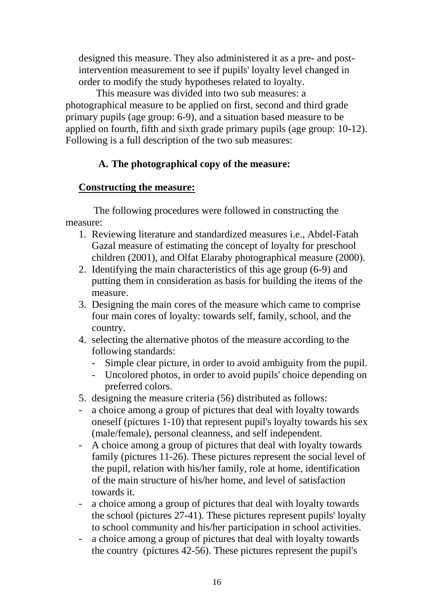designed this measure. They also administered it as a pre- and postintervention measurement to see if pupils' loyalty level changed in order to modify the study hypotheses related to loyalty.

 This measure was divided into two sub measures: a photographical measure to be applied on first, second and third grade primary pupils (age group: 6-9), and a situation based measure to be applied on fourth, fifth and sixth grade primary pupils (age group: 10-12). Following is a full description of the two sub measures:

## **A. The photographical copy of the measure:**

## **Constructing the measure:**

 The following procedures were followed in constructing the measure:

- 1. Reviewing literature and standardized measures i.e., Abdel-Fatah Gazal measure of estimating the concept of loyalty for preschool children (2001), and Olfat Elaraby photographical measure (2000).
- 2. Identifying the main characteristics of this age group (6-9) and putting them in consideration as basis for building the items of the measure.
- 3. Designing the main cores of the measure which came to comprise four main cores of loyalty: towards self, family, school, and the country.
- 4. selecting the alternative photos of the measure according to the following standards:
	- Simple clear picture, in order to avoid ambiguity from the pupil.
	- Uncolored photos, in order to avoid pupils' choice depending on preferred colors.
- 5. designing the measure criteria (56) distributed as follows:
- a choice among a group of pictures that deal with loyalty towards oneself (pictures 1-10) that represent pupil's loyalty towards his sex (male/female), personal cleanness, and self independent.
- A choice among a group of pictures that deal with loyalty towards family (pictures 11-26). These pictures represent the social level of the pupil, relation with his/her family, role at home, identification of the main structure of his/her home, and level of satisfaction towards it.
- a choice among a group of pictures that deal with loyalty towards the school (pictures 27-41). These pictures represent pupils' loyalty to school community and his/her participation in school activities.
- a choice among a group of pictures that deal with loyalty towards the country (pictures 42-56). These pictures represent the pupil's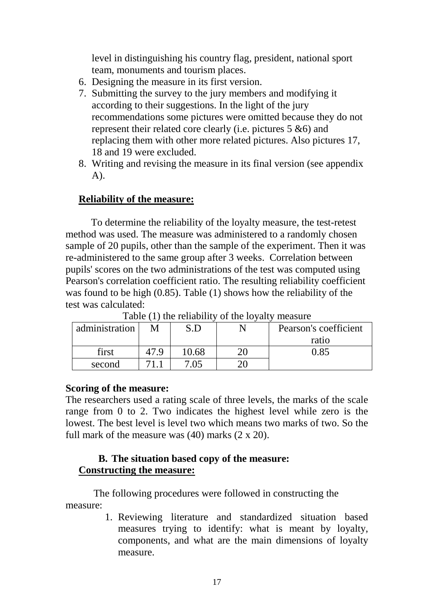level in distinguishing his country flag, president, national sport team, monuments and tourism places.

- 6. Designing the measure in its first version.
- 7. Submitting the survey to the jury members and modifying it according to their suggestions. In the light of the jury recommendations some pictures were omitted because they do not represent their related core clearly (i.e. pictures 5 &6) and replacing them with other more related pictures. Also pictures 17, 18 and 19 were excluded.
- 8. Writing and revising the measure in its final version (see appendix A).

#### **Reliability of the measure:**

 To determine the reliability of the loyalty measure, the test-retest method was used. The measure was administered to a randomly chosen sample of 20 pupils, other than the sample of the experiment. Then it was re-administered to the same group after 3 weeks. Correlation between pupils' scores on the two administrations of the test was computed using Pearson's correlation coefficient ratio. The resulting reliability coefficient was found to be high (0.85). Table (1) shows how the reliability of the test was calculated:

|                | ---------- |       |  |                       |  |  |  |  |  |  |  |
|----------------|------------|-------|--|-----------------------|--|--|--|--|--|--|--|
| administration |            |       |  | Pearson's coefficient |  |  |  |  |  |  |  |
|                |            |       |  | ratio                 |  |  |  |  |  |  |  |
| first          | 7 Q        | 10.68 |  | 0.85                  |  |  |  |  |  |  |  |
| second         |            | 7.05  |  |                       |  |  |  |  |  |  |  |

Table (1) the reliability of the loyalty measure

#### **Scoring of the measure:**

The researchers used a rating scale of three levels, the marks of the scale range from 0 to 2. Two indicates the highest level while zero is the lowest. The best level is level two which means two marks of two. So the full mark of the measure was  $(40)$  marks  $(2 \times 20)$ .

### **B. The situation based copy of the measure: Constructing the measure:**

 The following procedures were followed in constructing the measure:

> 1. Reviewing literature and standardized situation based measures trying to identify: what is meant by loyalty, components, and what are the main dimensions of loyalty measure.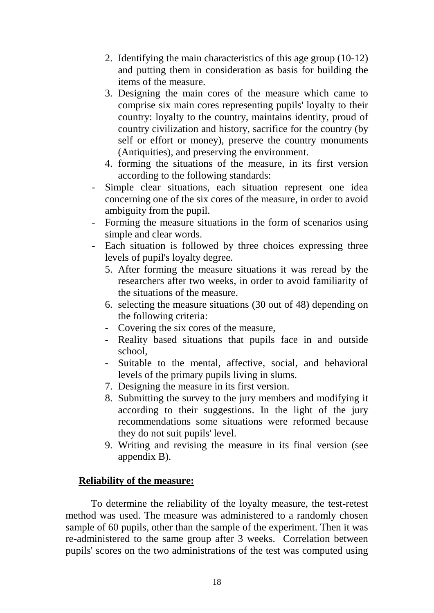- 2. Identifying the main characteristics of this age group (10-12) and putting them in consideration as basis for building the items of the measure.
- 3. Designing the main cores of the measure which came to comprise six main cores representing pupils' loyalty to their country: loyalty to the country, maintains identity, proud of country civilization and history, sacrifice for the country (by self or effort or money), preserve the country monuments (Antiquities), and preserving the environment.
- 4. forming the situations of the measure, in its first version according to the following standards:
- Simple clear situations, each situation represent one idea concerning one of the six cores of the measure, in order to avoid ambiguity from the pupil.
- Forming the measure situations in the form of scenarios using simple and clear words.
- Each situation is followed by three choices expressing three levels of pupil's loyalty degree.
	- 5. After forming the measure situations it was reread by the researchers after two weeks, in order to avoid familiarity of the situations of the measure.
	- 6. selecting the measure situations (30 out of 48) depending on the following criteria:
	- Covering the six cores of the measure,
	- Reality based situations that pupils face in and outside school,
	- Suitable to the mental, affective, social, and behavioral levels of the primary pupils living in slums.
	- 7. Designing the measure in its first version.
	- 8. Submitting the survey to the jury members and modifying it according to their suggestions. In the light of the jury recommendations some situations were reformed because they do not suit pupils' level.
	- 9. Writing and revising the measure in its final version (see appendix B).

#### **Reliability of the measure:**

 To determine the reliability of the loyalty measure, the test-retest method was used. The measure was administered to a randomly chosen sample of 60 pupils, other than the sample of the experiment. Then it was re-administered to the same group after 3 weeks. Correlation between pupils' scores on the two administrations of the test was computed using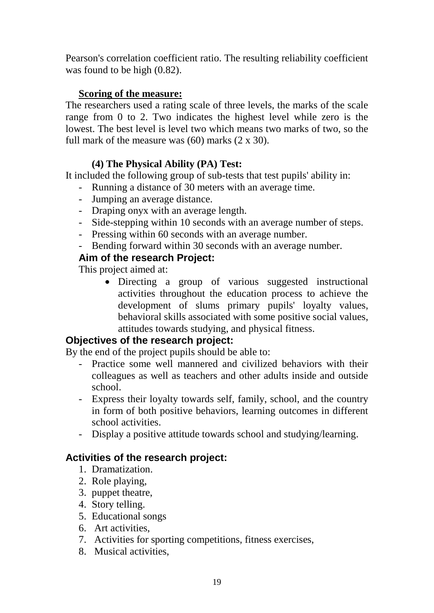Pearson's correlation coefficient ratio. The resulting reliability coefficient was found to be high (0.82).

## **Scoring of the measure:**

The researchers used a rating scale of three levels, the marks of the scale range from 0 to 2. Two indicates the highest level while zero is the lowest. The best level is level two which means two marks of two, so the full mark of the measure was  $(60)$  marks  $(2 \times 30)$ .

## **(4) The Physical Ability (PA) Test:**

It included the following group of sub-tests that test pupils' ability in:

- Running a distance of 30 meters with an average time.
- Jumping an average distance.
- Draping onyx with an average length.
- Side-stepping within 10 seconds with an average number of steps.
- Pressing within 60 seconds with an average number.
- Bending forward within 30 seconds with an average number.

## **Aim of the research Project:**

This project aimed at:

• Directing a group of various suggested instructional activities throughout the education process to achieve the development of slums primary pupils' loyalty values, behavioral skills associated with some positive social values, attitudes towards studying, and physical fitness.

## **Objectives of the research project:**

By the end of the project pupils should be able to:

- Practice some well mannered and civilized behaviors with their colleagues as well as teachers and other adults inside and outside school.
- Express their loyalty towards self, family, school, and the country in form of both positive behaviors, learning outcomes in different school activities.
- Display a positive attitude towards school and studying/learning.

## **Activities of the research project:**

- 1. Dramatization.
- 2. Role playing,
- 3. puppet theatre,
- 4. Story telling.
- 5. Educational songs
- 6. Art activities,
- 7. Activities for sporting competitions, fitness exercises,
- 8. Musical activities,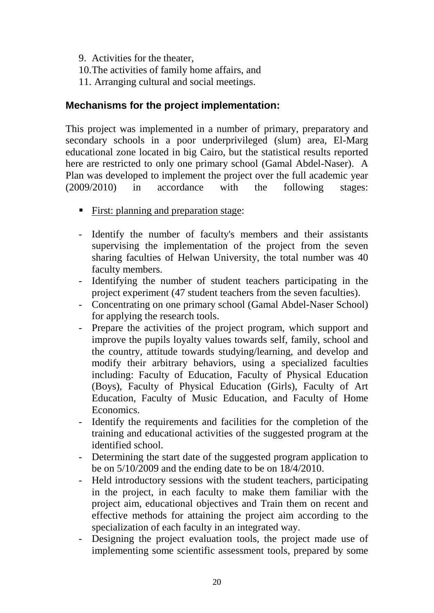- 9. Activities for the theater,
- 10.The activities of family home affairs, and
- 11. Arranging cultural and social meetings.

## **Mechanisms for the project implementation:**

This project was implemented in a number of primary, preparatory and secondary schools in a poor underprivileged (slum) area, El-Marg educational zone located in big Cairo, but the statistical results reported here are restricted to only one primary school (Gamal Abdel-Naser). A Plan was developed to implement the project over the full academic year (2009/2010) in accordance with the following stages:

- First: planning and preparation stage:
- Identify the number of faculty's members and their assistants supervising the implementation of the project from the seven sharing faculties of Helwan University, the total number was 40 faculty members.
- Identifying the number of student teachers participating in the project experiment (47 student teachers from the seven faculties).
- Concentrating on one primary school (Gamal Abdel-Naser School) for applying the research tools.
- Prepare the activities of the project program, which support and improve the pupils loyalty values towards self, family, school and the country, attitude towards studying/learning, and develop and modify their arbitrary behaviors, using a specialized faculties including: Faculty of Education, Faculty of Physical Education (Boys), Faculty of Physical Education (Girls), Faculty of Art Education, Faculty of Music Education, and Faculty of Home Economics.
- Identify the requirements and facilities for the completion of the training and educational activities of the suggested program at the identified school.
- Determining the start date of the suggested program application to be on 5/10/2009 and the ending date to be on 18/4/2010.
- Held introductory sessions with the student teachers, participating in the project, in each faculty to make them familiar with the project aim, educational objectives and Train them on recent and effective methods for attaining the project aim according to the specialization of each faculty in an integrated way.
- Designing the project evaluation tools, the project made use of implementing some scientific assessment tools, prepared by some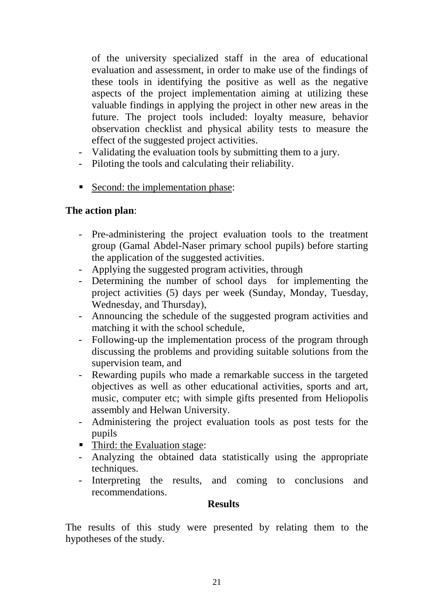of the university specialized staff in the area of educational evaluation and assessment, in order to make use of the findings of these tools in identifying the positive as well as the negative aspects of the project implementation aiming at utilizing these valuable findings in applying the project in other new areas in the future. The project tools included: loyalty measure, behavior observation checklist and physical ability tests to measure the effect of the suggested project activities.

- Validating the evaluation tools by submitting them to a jury.
- Piloting the tools and calculating their reliability.
- Second: the implementation phase:

## **The action plan**:

- Pre-administering the project evaluation tools to the treatment group (Gamal Abdel-Naser primary school pupils) before starting the application of the suggested activities.
- Applying the suggested program activities, through
- Determining the number of school days for implementing the project activities (5) days per week (Sunday, Monday, Tuesday, Wednesday, and Thursday),
- Announcing the schedule of the suggested program activities and matching it with the school schedule,
- Following-up the implementation process of the program through discussing the problems and providing suitable solutions from the supervision team, and
- Rewarding pupils who made a remarkable success in the targeted objectives as well as other educational activities, sports and art, music, computer etc; with simple gifts presented from Heliopolis assembly and Helwan University.
- Administering the project evaluation tools as post tests for the pupils
- Third: the Evaluation stage:
- Analyzing the obtained data statistically using the appropriate techniques.
- Interpreting the results, and coming to conclusions and recommendations.

#### **Results**

The results of this study were presented by relating them to the hypotheses of the study.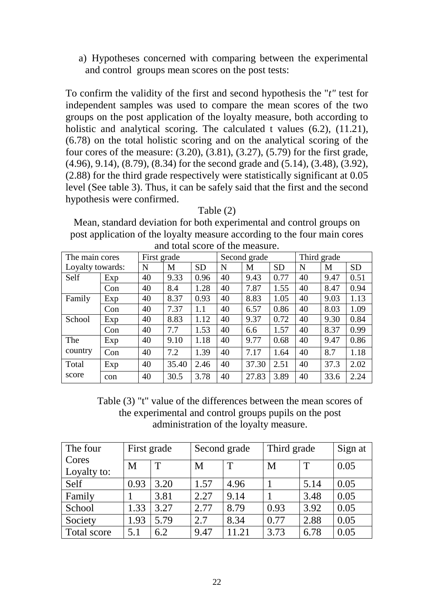a) Hypotheses concerned with comparing between the experimental and control groups mean scores on the post tests:

To confirm the validity of the first and second hypothesis the "*t"* test for independent samples was used to compare the mean scores of the two groups on the post application of the loyalty measure, both according to holistic and analytical scoring. The calculated t values (6.2), (11.21), (6.78) on the total holistic scoring and on the analytical scoring of the four cores of the measure:  $(3.20)$ ,  $(3.81)$ ,  $(3.27)$ ,  $(5.79)$  for the first grade, (4.96), 9.14), (8.79), (8.34) for the second grade and (5.14), (3.48), (3.92), (2.88) for the third grade respectively were statistically significant at 0.05 level (See table 3). Thus, it can be safely said that the first and the second hypothesis were confirmed.

Table (2) Mean, standard deviation for both experimental and control groups on post application of the loyalty measure according to the four main cores and total score of the measure.

| The main cores   |     |    | First grade |           |    | Second grade |           | Third grade |      |           |  |
|------------------|-----|----|-------------|-----------|----|--------------|-----------|-------------|------|-----------|--|
| Loyalty towards: |     | N  | M           | <b>SD</b> | N  | M            | <b>SD</b> | N           | M    | <b>SD</b> |  |
| Self             | Exp | 40 | 9.33        | 0.96      | 40 | 9.43         | 0.77      | 40          | 9.47 | 0.51      |  |
|                  | Con | 40 | 8.4         | 1.28      | 40 | 7.87         | 1.55      | 40          | 8.47 | 0.94      |  |
| Family           | Exp | 40 | 8.37        | 0.93      | 40 | 8.83         | 1.05      | 40          | 9.03 | 1.13      |  |
|                  | Con | 40 | 7.37        | 1.1       | 40 | 6.57         | 0.86      | 40          | 8.03 | 1.09      |  |
| School           | Exp | 40 | 8.83        | 1.12      | 40 | 9.37         | 0.72      | 40          | 9.30 | 0.84      |  |
|                  | Con | 40 | 7.7         | 1.53      | 40 | 6.6          | 1.57      | 40          | 8.37 | 0.99      |  |
| The              | Exp | 40 | 9.10        | 1.18      | 40 | 9.77         | 0.68      | 40          | 9.47 | 0.86      |  |
| country          | Con | 40 | 7.2         | 1.39      | 40 | 7.17         | 1.64      | 40          | 8.7  | 1.18      |  |
| Total            | Exp | 40 | 35.40       | 2.46      | 40 | 37.30        | 2.51      | 40          | 37.3 | 2.02      |  |
| score            | con | 40 | 30.5        | 3.78      | 40 | 27.83        | 3.89      | 40          | 33.6 | 2.24      |  |

Table (3) "t" value of the differences between the mean scores of the experimental and control groups pupils on the post administration of the loyalty measure.

| The four             | First grade |      |      | Second grade | Third grade |      | Sign at |
|----------------------|-------------|------|------|--------------|-------------|------|---------|
| Cores<br>Loyalty to: | M           | T    | M    | T            | M           | T    | 0.05    |
| Self                 | 0.93        | 3.20 | 1.57 | 4.96         |             | 5.14 | 0.05    |
| Family               |             | 3.81 | 2.27 | 9.14         |             | 3.48 | 0.05    |
| School               | 1.33        | 3.27 | 2.77 | 8.79         | 0.93        | 3.92 | 0.05    |
| Society              | 1.93        | 5.79 | 2.7  | 8.34         | 0.77        | 2.88 | 0.05    |
| Total score          | 5.1         | 6.2  | 9.47 | 11.21        | 3.73        | 6.78 | 0.05    |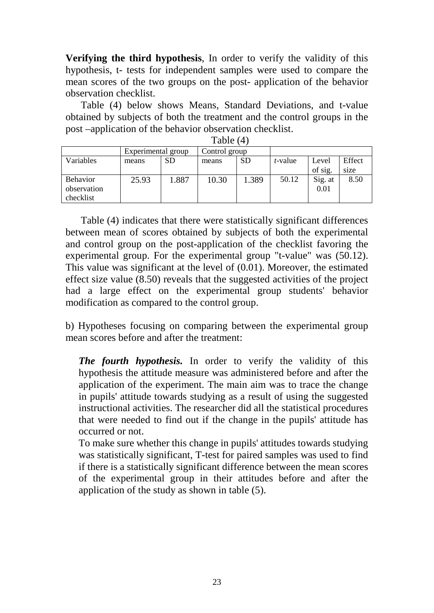**Verifying the third hypothesis**, In order to verify the validity of this hypothesis, t- tests for independent samples were used to compare the mean scores of the two groups on the post- application of the behavior observation checklist.

 Table (4) below shows Means, Standard Deviations, and t-value obtained by subjects of both the treatment and the control groups in the post –application of the behavior observation checklist.

|                 | Experimental group |           | Control group |           |                 |         |        |  |  |  |
|-----------------|--------------------|-----------|---------------|-----------|-----------------|---------|--------|--|--|--|
| Variables       | means              | <b>SD</b> | means         | <b>SD</b> | <i>t</i> -value | Level   | Effect |  |  |  |
|                 |                    |           |               |           |                 | of sig. | size   |  |  |  |
| <b>Behavior</b> | 25.93              | 1.887     | 10.30         | 1.389     | 50.12           | Sig. at | 8.50   |  |  |  |
| observation     |                    |           |               |           |                 | 0.01    |        |  |  |  |
| checklist       |                    |           |               |           |                 |         |        |  |  |  |

Table (4)

 Table (4) indicates that there were statistically significant differences between mean of scores obtained by subjects of both the experimental and control group on the post-application of the checklist favoring the experimental group. For the experimental group "t-value" was (50.12). This value was significant at the level of (0.01). Moreover, the estimated effect size value (8.50) reveals that the suggested activities of the project had a large effect on the experimental group students' behavior modification as compared to the control group.

b) Hypotheses focusing on comparing between the experimental group mean scores before and after the treatment:

*The fourth hypothesis.* In order to verify the validity of this hypothesis the attitude measure was administered before and after the application of the experiment. The main aim was to trace the change in pupils' attitude towards studying as a result of using the suggested instructional activities. The researcher did all the statistical procedures that were needed to find out if the change in the pupils' attitude has occurred or not.

To make sure whether this change in pupils' attitudes towards studying was statistically significant, T-test for paired samples was used to find if there is a statistically significant difference between the mean scores of the experimental group in their attitudes before and after the application of the study as shown in table (5).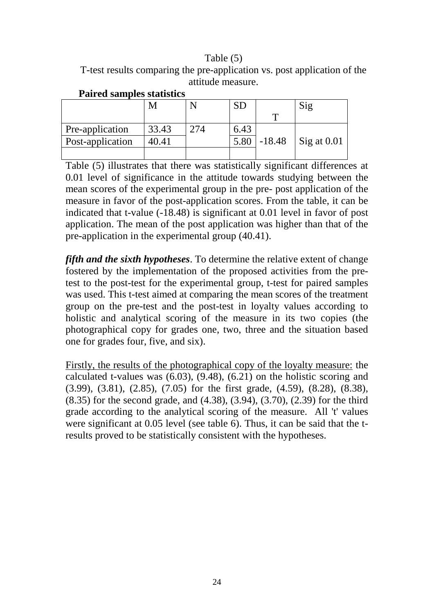### Table (5)

| T-test results comparing the pre-application vs. post application of the |                   |  |
|--------------------------------------------------------------------------|-------------------|--|
|                                                                          | attitude measure. |  |

|                  | $N_{\rm h}$ |     | SD   |          | Sig         |
|------------------|-------------|-----|------|----------|-------------|
|                  |             |     |      |          |             |
| Pre-application  | 33.43       | 274 | 6.43 |          |             |
| Post-application | 40.41       |     | 5.80 | $-18.48$ | Sig at 0.01 |
|                  |             |     |      |          |             |

**Paired samples statistics**

Table (5) illustrates that there was statistically significant differences at 0.01 level of significance in the attitude towards studying between the mean scores of the experimental group in the pre- post application of the measure in favor of the post-application scores. From the table, it can be indicated that t-value (-18.48) is significant at 0.01 level in favor of post application. The mean of the post application was higher than that of the pre-application in the experimental group (40.41).

*fifth and the sixth hypotheses*. To determine the relative extent of change fostered by the implementation of the proposed activities from the pretest to the post-test for the experimental group, t-test for paired samples was used. This t-test aimed at comparing the mean scores of the treatment group on the pre-test and the post-test in loyalty values according to holistic and analytical scoring of the measure in its two copies (the photographical copy for grades one, two, three and the situation based one for grades four, five, and six).

Firstly, the results of the photographical copy of the loyalty measure: the calculated t-values was (6.03), (9.48), (6.21) on the holistic scoring and (3.99), (3.81), (2.85), (7.05) for the first grade, (4.59), (8.28), (8.38), (8.35) for the second grade, and (4.38), (3.94), (3.70), (2.39) for the third grade according to the analytical scoring of the measure. All 't' values were significant at 0.05 level (see table 6). Thus, it can be said that the tresults proved to be statistically consistent with the hypotheses.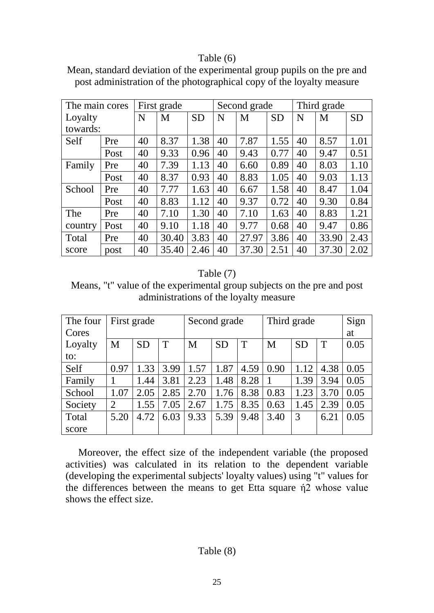#### Table (6)

| Mean, standard deviation of the experimental group pupils on the pre and |  |  |
|--------------------------------------------------------------------------|--|--|
| post administration of the photographical copy of the loyalty measure    |  |  |

| The main cores |      |    | First grade |           |                     | Second grade |      |    | Third grade |           |
|----------------|------|----|-------------|-----------|---------------------|--------------|------|----|-------------|-----------|
| Loyalty        |      | N  | M           | <b>SD</b> | <b>SD</b><br>M<br>N |              |      | N  | M           | <b>SD</b> |
| towards:       |      |    |             |           |                     |              |      |    |             |           |
| Self           | Pre  | 40 | 8.37        | 1.38      | 40                  | 7.87         | 1.55 | 40 | 8.57        | 1.01      |
|                | Post | 40 | 9.33        | 0.96      | 40                  | 9.43         | 0.77 | 40 | 9.47        | 0.51      |
| Family         | Pre  | 40 | 7.39        | 1.13      | 40                  | 6.60         | 0.89 | 40 | 8.03        | 1.10      |
|                | Post | 40 | 8.37        | 0.93      | 40                  | 8.83         | 1.05 | 40 | 9.03        | 1.13      |
| School         | Pre  | 40 | 7.77        | 1.63      | 40                  | 6.67         | 1.58 | 40 | 8.47        | 1.04      |
|                | Post | 40 | 8.83        | 1.12      | 40                  | 9.37         | 0.72 | 40 | 9.30        | 0.84      |
| The            | Pre  | 40 | 7.10        | 1.30      | 40                  | 7.10         | 1.63 | 40 | 8.83        | 1.21      |
| country        | Post | 40 | 9.10        | 1.18      | 40                  | 9.77         | 0.68 | 40 | 9.47        | 0.86      |
| Total          | Pre  | 40 | 30.40       | 3.83      | 40                  | 27.97        | 3.86 | 40 | 33.90       | 2.43      |
| score          | post | 40 | 35.40       | 2.46      | 40                  | 37.30        | 2.51 | 40 | 37.30       | 2.02      |

### Table (7)

Means, "t" value of the experimental group subjects on the pre and post administrations of the loyalty measure

| The four | First grade    |           |      | Second grade |           |      | Third grade |           |      | Sign |
|----------|----------------|-----------|------|--------------|-----------|------|-------------|-----------|------|------|
| Cores    |                |           |      |              |           |      |             |           |      | at   |
| Loyalty  | M              | <b>SD</b> | T    | M            | <b>SD</b> | T    | M           | <b>SD</b> | T    | 0.05 |
| to:      |                |           |      |              |           |      |             |           |      |      |
| Self     | 0.97           | 1.33      | 3.99 | 1.57         | 1.87      | 4.59 | 0.90        | 1.12      | 4.38 | 0.05 |
| Family   |                | 1.44      | 3.81 | 2.23         | 1.48      | 8.28 |             | 1.39      | 3.94 | 0.05 |
| School   | 1.07           | 2.05      | 2.85 | 2.70         | 1.76      | 8.38 | 0.83        | 1.23      | 3.70 | 0.05 |
| Society  | $\overline{2}$ | 1.55      | 7.05 | 2.67         | 1.75      | 8.35 | 0.63        | 1.45      | 2.39 | 0.05 |
| Total    | 5.20           | 4.72      | 6.03 | 9.33         | 5.39      | 9.48 | 3.40        | 3         | 6.21 | 0.05 |
| score    |                |           |      |              |           |      |             |           |      |      |

 Moreover, the effect size of the independent variable (the proposed activities) was calculated in its relation to the dependent variable (developing the experimental subjects' loyalty values) using "t" values for the differences between the means to get Etta square ή2 whose value shows the effect size.

## Table (8)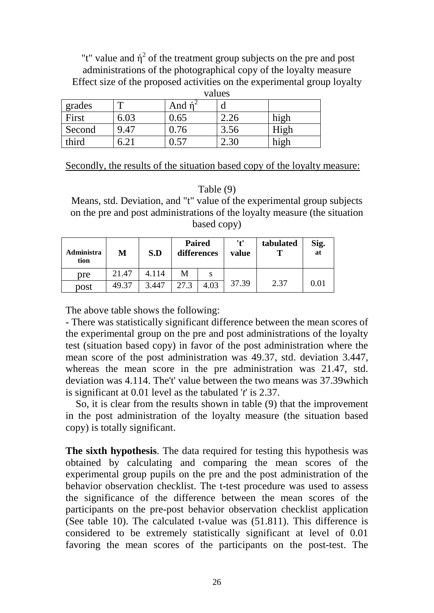"t" value and  $\hat{\eta}^2$  of the treatment group subjects on the pre and post administrations of the photographical copy of the loyalty measure Effect size of the proposed activities on the experimental group loyalty

|        |      | values       |      |      |  |  |  |  |  |
|--------|------|--------------|------|------|--|--|--|--|--|
| grades |      | And <i>n</i> | d    |      |  |  |  |  |  |
| First  | 6.03 | 0.65         | 2.26 | high |  |  |  |  |  |
| Second | 9.47 | 0.76         | 3.56 | High |  |  |  |  |  |
| third  |      | 0.57         | 2.30 | high |  |  |  |  |  |

Secondly, the results of the situation based copy of the loyalty measure:

Table (9)

Means, std. Deviation, and "t" value of the experimental group subjects on the pre and post administrations of the loyalty measure (the situation based copy)

| Administra<br>tion | M     | S.D   |      | <b>Paired</b><br>differences | '+'<br>value | tabulated<br>т | Sig.<br>at |
|--------------------|-------|-------|------|------------------------------|--------------|----------------|------------|
| pre                | 21.47 | 4.114 | Μ    | S                            |              |                |            |
| post               | 49.37 | 3.447 | 27.3 | 4.03                         | 37.39        | 2.37           | 0.01       |

The above table shows the following:

- There was statistically significant difference between the mean scores of the experimental group on the pre and post administrations of the loyalty test (situation based copy) in favor of the post administration where the mean score of the post administration was 49.37, std. deviation 3.447, whereas the mean score in the pre administration was 21.47, std. deviation was 4.114. The't' value between the two means was 37.39which is significant at 0.01 level as the tabulated '*t*' is 2.37.

 So, it is clear from the results shown in table (9) that the improvement in the post administration of the loyalty measure (the situation based copy) is totally significant.

**The sixth hypothesis**. The data required for testing this hypothesis was obtained by calculating and comparing the mean scores of the experimental group pupils on the pre and the post administration of the behavior observation checklist. The t-test procedure was used to assess the significance of the difference between the mean scores of the participants on the pre-post behavior observation checklist application (See table 10). The calculated t-value was (51.811). This difference is considered to be extremely statistically significant at level of 0.01 favoring the mean scores of the participants on the post-test. The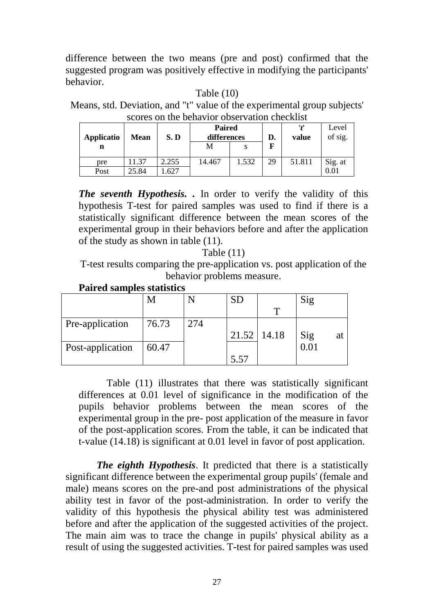difference between the two means (pre and post) confirmed that the suggested program was positively effective in modifying the participants' behavior.

Table (10)

Means, std. Deviation, and "t" value of the experimental group subjects' scores on the behavior observation checklist

| Applicatio | <b>Mean</b> | S.D   | <b>Paired</b><br>differences |       | D. | '1'<br>value | Level<br>of sig. |
|------------|-------------|-------|------------------------------|-------|----|--------------|------------------|
| n          |             |       | М                            |       | F  |              |                  |
| pre        | 1.37        | 2.255 | 14.467                       | 1.532 | 29 | 51.811       | Sig. at          |
| Post       | 25.84       | .627  |                              |       |    |              | $0.01\,$         |

*The seventh Hypothesis. .* In order to verify the validity of this hypothesis T-test for paired samples was used to find if there is a statistically significant difference between the mean scores of the experimental group in their behaviors before and after the application of the study as shown in table (11).

Table (11)

T-test results comparing the pre-application vs. post application of the behavior problems measure.

**Paired samples statistics**

|                  |       |     | SD   |                 | Sig       |
|------------------|-------|-----|------|-----------------|-----------|
|                  |       |     |      |                 |           |
| Pre-application  | 76.73 | 274 |      |                 |           |
|                  |       |     |      | $21.52$   14.18 | Sig<br>at |
| Post-application | 60.47 |     |      |                 |           |
|                  |       |     | 5.57 |                 |           |

 Table (11) illustrates that there was statistically significant differences at 0.01 level of significance in the modification of the pupils behavior problems between the mean scores of the experimental group in the pre- post application of the measure in favor of the post-application scores. From the table, it can be indicated that t-value (14.18) is significant at 0.01 level in favor of post application.

*The eighth Hypothesis*. It predicted that there is a statistically significant difference between the experimental group pupils' (female and male) means scores on the pre-and post administrations of the physical ability test in favor of the post-administration. In order to verify the validity of this hypothesis the physical ability test was administered before and after the application of the suggested activities of the project. The main aim was to trace the change in pupils' physical ability as a result of using the suggested activities. T-test for paired samples was used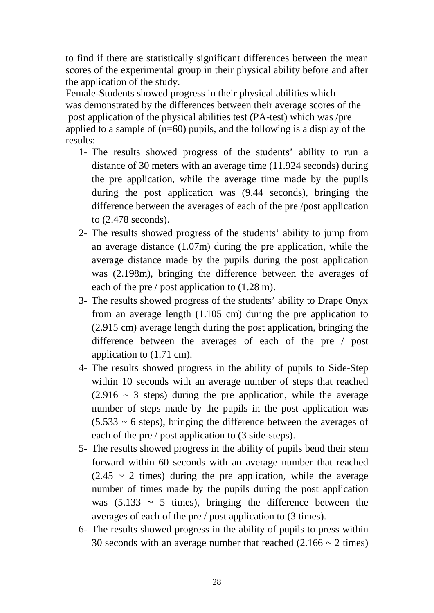to find if there are statistically significant differences between the mean scores of the experimental group in their physical ability before and after the application of the study.

Female-Students showed progress in their physical abilities which was demonstrated by the differences between their average scores of the post application of the physical abilities test (PA-test) which was /pre applied to a sample of (n=60) pupils, and the following is a display of the results:

- 1- The results showed progress of the students' ability to run a distance of 30 meters with an average time (11.924 seconds) during the pre application, while the average time made by the pupils during the post application was (9.44 seconds), bringing the difference between the averages of each of the pre /post application to (2.478 seconds).
- 2- The results showed progress of the students' ability to jump from an average distance (1.07m) during the pre application, while the average distance made by the pupils during the post application was (2.198m), bringing the difference between the averages of each of the pre / post application to (1.28 m).
- 3- The results showed progress of the students' ability to Drape Onyx from an average length (1.105 cm) during the pre application to (2.915 cm) average length during the post application, bringing the difference between the averages of each of the pre / post application to (1.71 cm).
- 4- The results showed progress in the ability of pupils to Side-Step within 10 seconds with an average number of steps that reached  $(2.916 \sim 3$  steps) during the pre application, while the average number of steps made by the pupils in the post application was  $(5.533 \sim 6$  steps), bringing the difference between the averages of each of the pre / post application to (3 side-steps).
- 5- The results showed progress in the ability of pupils bend their stem forward within 60 seconds with an average number that reached  $(2.45 \sim 2$  times) during the pre application, while the average number of times made by the pupils during the post application was  $(5.133 \sim 5$  times), bringing the difference between the averages of each of the pre / post application to (3 times).
- 6- The results showed progress in the ability of pupils to press within 30 seconds with an average number that reached  $(2.166 \sim 2 \text{ times})$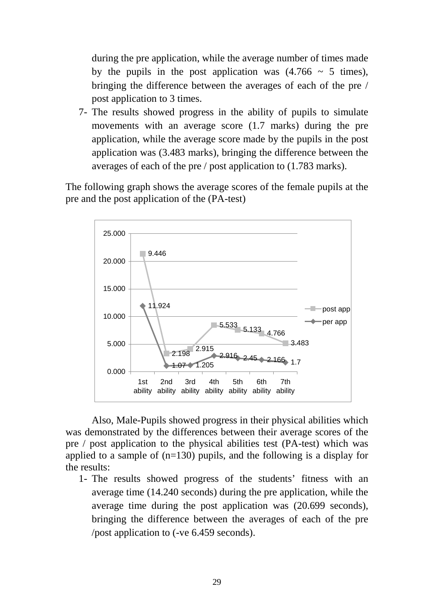during the pre application, while the average number of times made by the pupils in the post application was  $(4.766 \sim 5 \text{ times})$ , bringing the difference between the averages of each of the pre / post application to 3 times.

7- The results showed progress in the ability of pupils to simulate movements with an average score (1.7 marks) during the pre application, while the average score made by the pupils in the post application was (3.483 marks), bringing the difference between the averages of each of the pre / post application to (1.783 marks).

The following graph shows the average scores of the female pupils at the pre and the post application of the (PA-test)



Also, Male-Pupils showed progress in their physical abilities which was demonstrated by the differences between their average scores of the pre / post application to the physical abilities test (PA-test) which was applied to a sample of (n=130) pupils, and the following is a display for the results:

1- The results showed progress of the students' fitness with an average time (14.240 seconds) during the pre application, while the average time during the post application was (20.699 seconds), bringing the difference between the averages of each of the pre /post application to (-ve 6.459 seconds).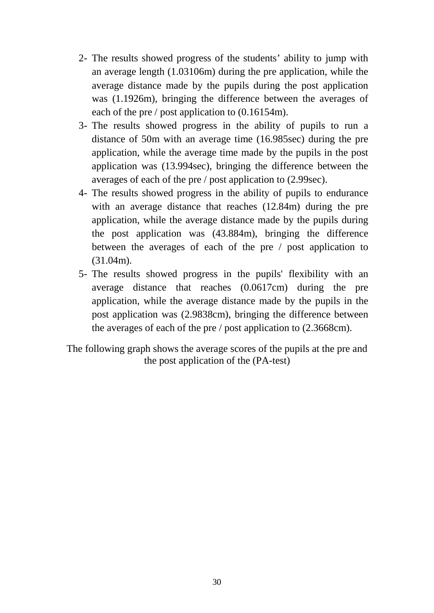- 2- The results showed progress of the students' ability to jump with an average length (1.03106m) during the pre application, while the average distance made by the pupils during the post application was (1.1926m), bringing the difference between the averages of each of the pre / post application to (0.16154m).
- 3- The results showed progress in the ability of pupils to run a distance of 50m with an average time (16.985sec) during the pre application, while the average time made by the pupils in the post application was (13.994sec), bringing the difference between the averages of each of the pre / post application to (2.99sec).
- 4- The results showed progress in the ability of pupils to endurance with an average distance that reaches (12.84m) during the pre application, while the average distance made by the pupils during the post application was (43.884m), bringing the difference between the averages of each of the pre / post application to (31.04m).
- 5- The results showed progress in the pupils' flexibility with an average distance that reaches (0.0617cm) during the pre application, while the average distance made by the pupils in the post application was (2.9838cm), bringing the difference between the averages of each of the pre / post application to (2.3668cm).

The following graph shows the average scores of the pupils at the pre and the post application of the (PA-test)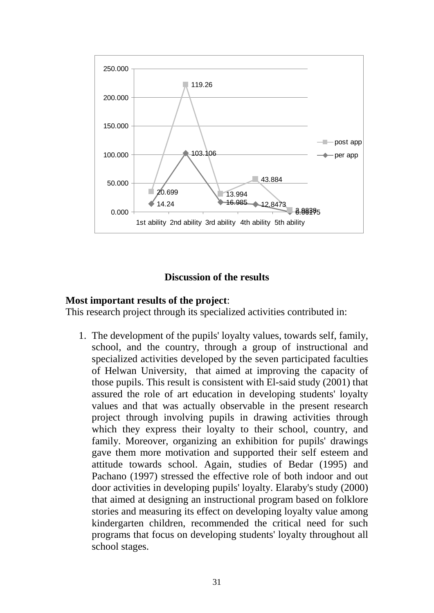

## **Discussion of the results**

### **Most important results of the project**:

This research project through its specialized activities contributed in:

1. The development of the pupils' loyalty values, towards self, family, school, and the country, through a group of instructional and specialized activities developed by the seven participated faculties of Helwan University, that aimed at improving the capacity of those pupils. This result is consistent with El-said study (2001) that assured the role of art education in developing students' loyalty values and that was actually observable in the present research project through involving pupils in drawing activities through which they express their loyalty to their school, country, and family. Moreover, organizing an exhibition for pupils' drawings gave them more motivation and supported their self esteem and attitude towards school. Again, studies of Bedar (1995) and Pachano (1997) stressed the effective role of both indoor and out door activities in developing pupils' loyalty. Elaraby's study (2000) that aimed at designing an instructional program based on folklore stories and measuring its effect on developing loyalty value among kindergarten children, recommended the critical need for such programs that focus on developing students' loyalty throughout all school stages.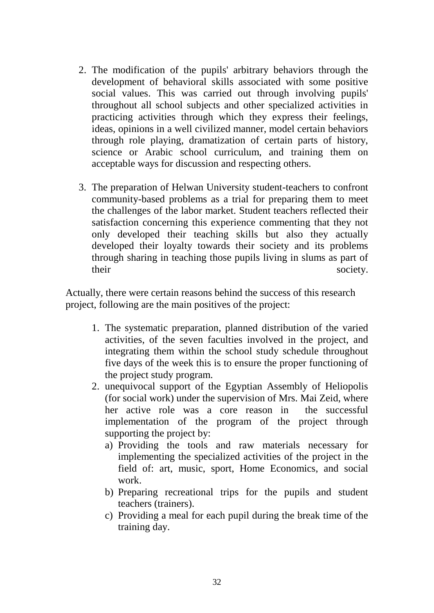- 2. The modification of the pupils' arbitrary behaviors through the development of behavioral skills associated with some positive social values. This was carried out through involving pupils' throughout all school subjects and other specialized activities in practicing activities through which they express their feelings, ideas, opinions in a well civilized manner, model certain behaviors through role playing, dramatization of certain parts of history, science or Arabic school curriculum, and training them on acceptable ways for discussion and respecting others.
- 3. The preparation of Helwan University student-teachers to confront community-based problems as a trial for preparing them to meet the challenges of the labor market. Student teachers reflected their satisfaction concerning this experience commenting that they not only developed their teaching skills but also they actually developed their loyalty towards their society and its problems through sharing in teaching those pupils living in slums as part of their society.

Actually, there were certain reasons behind the success of this research project, following are the main positives of the project:

- 1. The systematic preparation, planned distribution of the varied activities, of the seven faculties involved in the project, and integrating them within the school study schedule throughout five days of the week this is to ensure the proper functioning of the project study program.
- 2. unequivocal support of the Egyptian Assembly of Heliopolis (for social work) under the supervision of Mrs. Mai Zeid, where her active role was a core reason in the successful implementation of the program of the project through supporting the project by:
	- a) Providing the tools and raw materials necessary for implementing the specialized activities of the project in the field of: art, music, sport, Home Economics, and social work.
	- b) Preparing recreational trips for the pupils and student teachers (trainers).
	- c) Providing a meal for each pupil during the break time of the training day.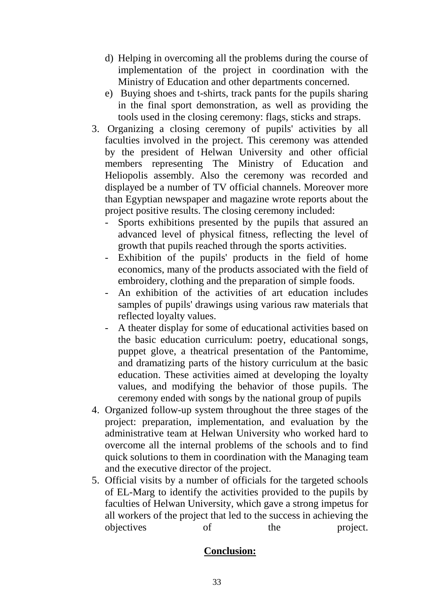- d) Helping in overcoming all the problems during the course of implementation of the project in coordination with the Ministry of Education and other departments concerned.
- e) Buying shoes and t-shirts, track pants for the pupils sharing in the final sport demonstration, as well as providing the tools used in the closing ceremony: flags, sticks and straps.
- 3. Organizing a closing ceremony of pupils' activities by all faculties involved in the project. This ceremony was attended by the president of Helwan University and other official members representing The Ministry of Education and Heliopolis assembly. Also the ceremony was recorded and displayed be a number of TV official channels. Moreover more than Egyptian newspaper and magazine wrote reports about the project positive results. The closing ceremony included:
	- Sports exhibitions presented by the pupils that assured an advanced level of physical fitness, reflecting the level of growth that pupils reached through the sports activities.
	- Exhibition of the pupils' products in the field of home economics, many of the products associated with the field of embroidery, clothing and the preparation of simple foods.
	- An exhibition of the activities of art education includes samples of pupils' drawings using various raw materials that reflected loyalty values.
	- A theater display for some of educational activities based on the basic education curriculum: poetry, educational songs, puppet glove, a theatrical presentation of the Pantomime, and dramatizing parts of the history curriculum at the basic education. These activities aimed at developing the loyalty values, and modifying the behavior of those pupils. The ceremony ended with songs by the national group of pupils
- 4. Organized follow-up system throughout the three stages of the project: preparation, implementation, and evaluation by the administrative team at Helwan University who worked hard to overcome all the internal problems of the schools and to find quick solutions to them in coordination with the Managing team and the executive director of the project.
- 5. Official visits by a number of officials for the targeted schools of EL-Marg to identify the activities provided to the pupils by faculties of Helwan University, which gave a strong impetus for all workers of the project that led to the success in achieving the objectives of the project.

## **Conclusion:**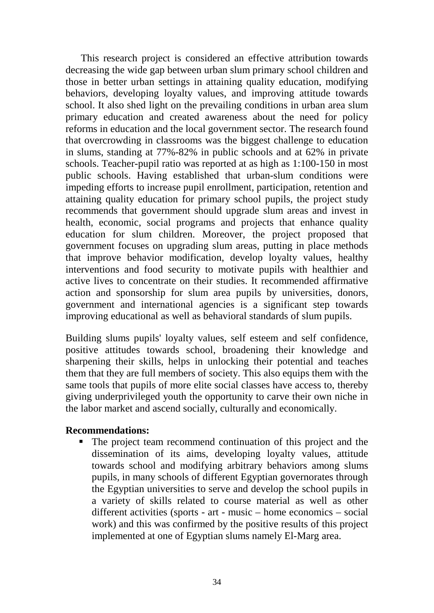This research project is considered an effective attribution towards decreasing the wide gap between urban slum primary school children and those in better urban settings in attaining quality education, modifying behaviors, developing loyalty values, and improving attitude towards school. It also shed light on the prevailing conditions in urban area slum primary education and created awareness about the need for policy reforms in education and the local government sector. The research found that overcrowding in classrooms was the biggest challenge to education in slums, standing at 77%-82% in public schools and at 62% in private schools. Teacher-pupil ratio was reported at as high as 1:100-150 in most public schools. Having established that urban-slum conditions were impeding efforts to increase pupil enrollment, participation, retention and attaining quality education for primary school pupils, the project study recommends that government should upgrade slum areas and invest in health, economic, social programs and projects that enhance quality education for slum children. Moreover, the project proposed that government focuses on upgrading slum areas, putting in place methods that improve behavior modification, develop loyalty values, healthy interventions and food security to motivate pupils with healthier and active lives to concentrate on their studies. It recommended affirmative action and sponsorship for slum area pupils by universities, donors, government and international agencies is a significant step towards improving educational as well as behavioral standards of slum pupils.

Building slums pupils' loyalty values, self esteem and self confidence, positive attitudes towards school, broadening their knowledge and sharpening their skills, helps in unlocking their potential and teaches them that they are full members of society. This also equips them with the same tools that pupils of more elite social classes have access to, thereby giving underprivileged youth the opportunity to carve their own niche in the labor market and ascend socially, culturally and economically.

#### **Recommendations:**

 The project team recommend continuation of this project and the dissemination of its aims, developing loyalty values, attitude towards school and modifying arbitrary behaviors among slums pupils, in many schools of different Egyptian governorates through the Egyptian universities to serve and develop the school pupils in a variety of skills related to course material as well as other different activities (sports - art - music – home economics – social work) and this was confirmed by the positive results of this project implemented at one of Egyptian slums namely El-Marg area.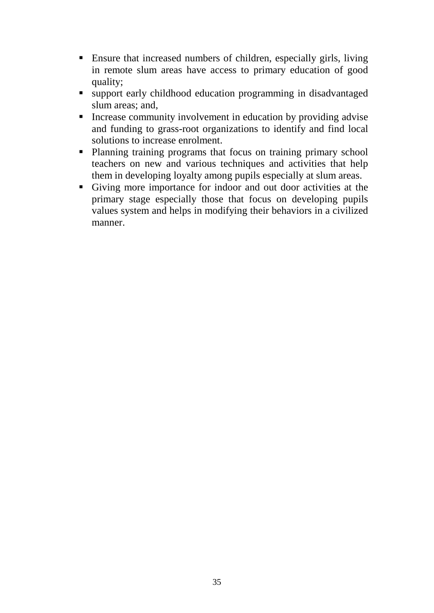- Ensure that increased numbers of children, especially girls, living in remote slum areas have access to primary education of good quality;
- support early childhood education programming in disadvantaged slum areas; and,
- Increase community involvement in education by providing advise and funding to grass-root organizations to identify and find local solutions to increase enrolment.
- Planning training programs that focus on training primary school teachers on new and various techniques and activities that help them in developing loyalty among pupils especially at slum areas.
- Giving more importance for indoor and out door activities at the primary stage especially those that focus on developing pupils values system and helps in modifying their behaviors in a civilized manner.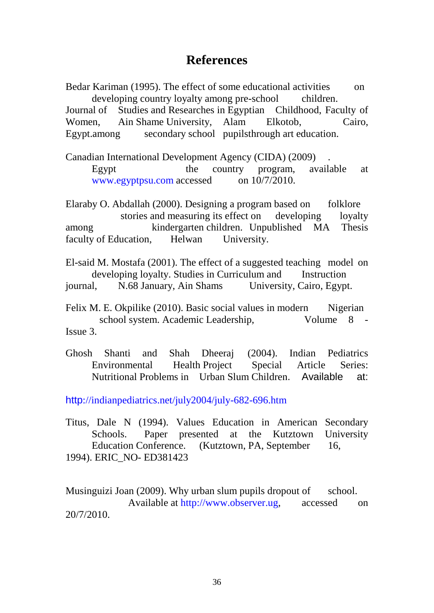## **References**

Bedar Kariman (1995). The effect of some educational activities on developing country loyalty among pre-school children.

Journal of Studies and Researches in Egyptian Childhood, Faculty of Women, Ain Shame University, Alam Elkotob, Cairo, Egypt.among secondary school pupilsthrough art education.

Canadian International Development Agency (CIDA) (2009) . Egypt the country program, available at [www.egyptpsu.com](http://www.egyptpsu.com/) accessed on 10/7/2010.

Elaraby O. Abdallah (2000). Designing a program based on folklore stories and measuring its effect on developing loyalty among kindergarten children. Unpublished MA Thesis faculty of Education, Helwan University.

El-said M. Mostafa (2001). The effect of a suggested teaching model on developing loyalty. Studies in Curriculum and Instruction journal, N.68 January, Ain Shams University, Cairo, Egypt.

Felix M. E. Okpilike (2010). Basic social values in modern Nigerian school system. Academic Leadership, Volume 8 -Issue 3.

Ghosh Shanti and Shah Dheeraj (2004). Indian Pediatrics Environmental Health Project Special Article Series: Nutritional Problems in Urban Slum Children. Available at:

http[://indianpediatrics.net/july2004/july-682-696.htm](http://indianpediatrics.net/july2004/july-682-696.htm)

Titus, Dale N (1994). Values Education in American Secondary Schools. Paper presented at the Kutztown University Education Conference. (Kutztown, PA, September 16, 1994). ERIC\_NO- ED381423

Musinguizi Joan (2009). Why urban slum pupils dropout of school. Available at [http://www.observer.ug,](http://www.observer.ug/) accessed on 20/7/2010.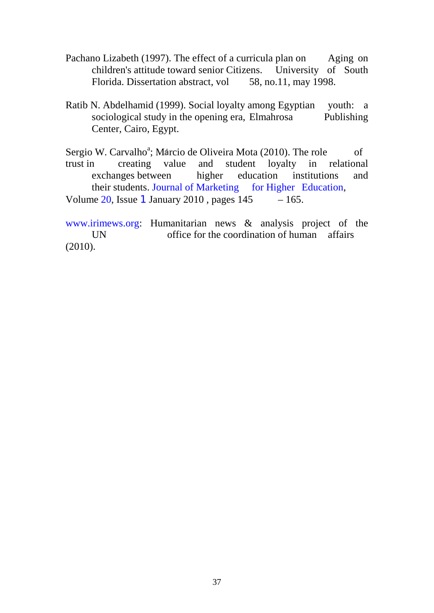- Pachano Lizabeth (1997). The effect of a curricula plan on Aging on children's attitude toward senior Citizens. University of South Florida. Dissertation abstract, vol 58, no.11, may 1998.
- Ratib N. Abdelhamid (1999). Social loyalty among Egyptian youth: a sociological study in the opening era, Elmahrosa Publishing sociological study in the opening era, Elmahrosa Center, Cairo, Egypt.
- Sergio W. Carvalho<sup>a</sup>; Marcio de Oliveira Mota (2010). The role of trust in creating value and student loyalty in relational exchanges between higher education institutions and their students. Journal of Marketing [for Higher Education,](http://www.informaworld.com/smpp/title~db=all~content=t792306933) Volume [20,](http://www.informaworld.com/smpp/title~db=all~content=t792306933~tab=issueslist~branches=20#v20) Issue [1](http://www.informaworld.com/smpp/title~db=all~content=g924400053) January 2010, pages  $145 - 165$ .

[www.irimews.org:](http://www.irimews.org/) Humanitarian news & analysis project of the UN office for the coordination of human affairs (2010).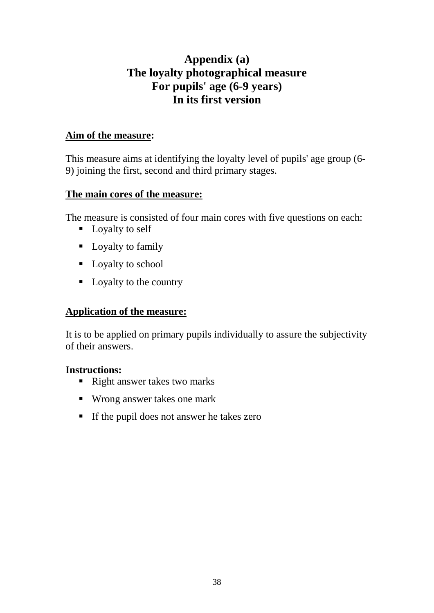## **Appendix (a) The loyalty photographical measure For pupils' age (6-9 years) In its first version**

## **Aim of the measure:**

This measure aims at identifying the loyalty level of pupils' age group (6- 9) joining the first, second and third primary stages.

## **The main cores of the measure:**

The measure is consisted of four main cores with five questions on each:

- Loyalty to self
- Loyalty to family
- Loyalty to school
- Loyalty to the country

## **Application of the measure:**

It is to be applied on primary pupils individually to assure the subjectivity of their answers.

## **Instructions:**

- Right answer takes two marks
- Wrong answer takes one mark
- If the pupil does not answer he takes zero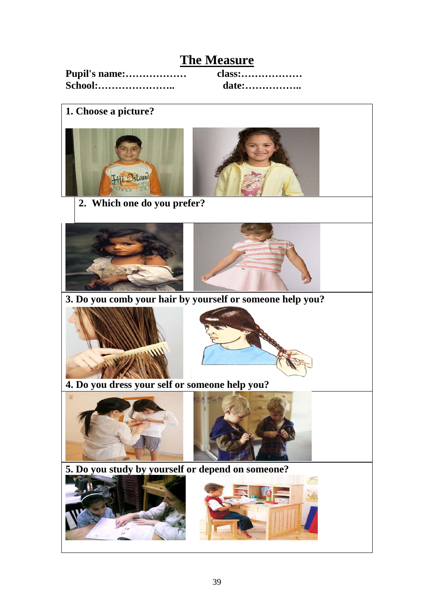## **The Measure**

| Pupil's name: |  |
|---------------|--|
| School:       |  |

**Pupil's name:……………… class:……………… School:………………….. date:……………..**

**1. Choose a picture?** 







 **3. Do you comb your hair by yourself or someone help you?**





 **4. Do you dress your self or someone help you?**



 **5. Do you study by yourself or depend on someone?** 

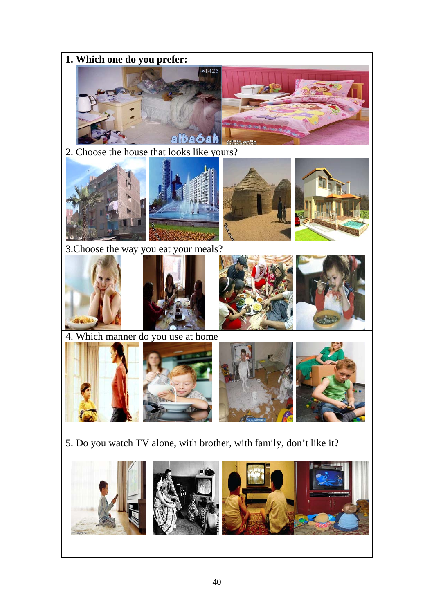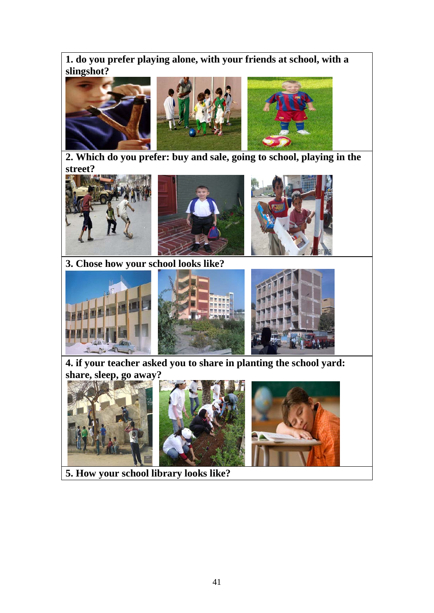**1. do you prefer playing alone, with your friends at school, with a slingshot?** 



 **2. Which do you prefer: buy and sale, going to school, playing in the street?**







 **3. Chose how your school looks like?**



 **4. if your teacher asked you to share in planting the school yard: share, sleep, go away?**







 **5. How your school library looks like?**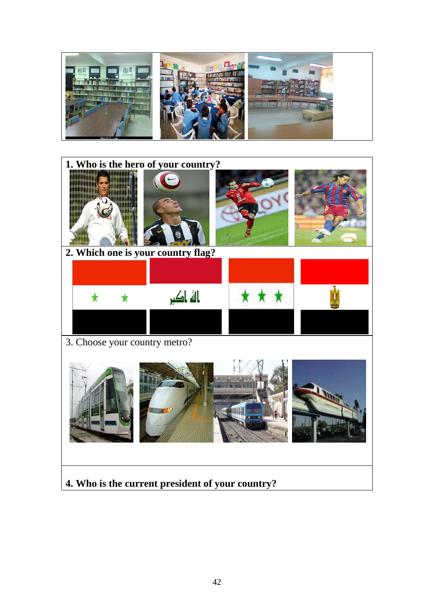

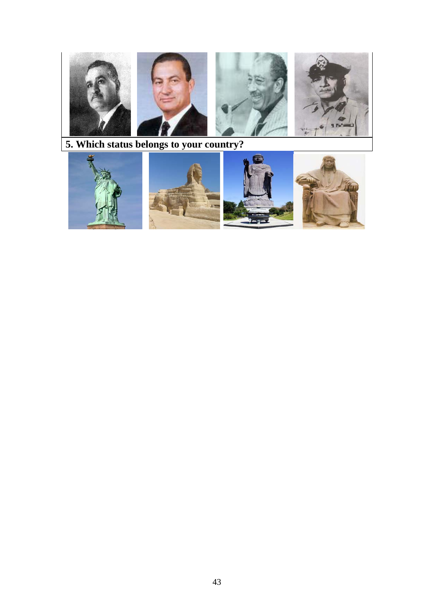

**5. Which status belongs to your country?**







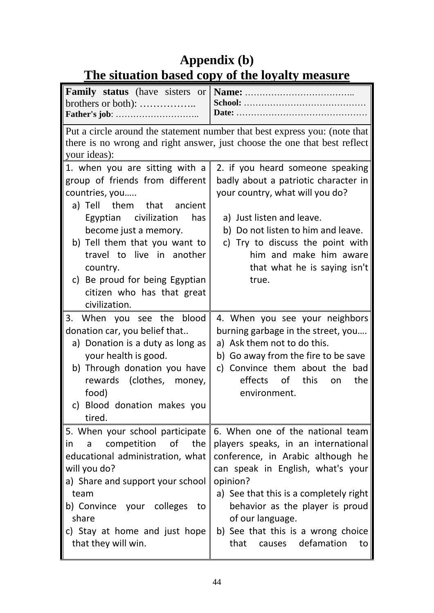# **Appendix (b) The situation based copy of the loyalty measure**

| <b>Family status</b> (have sisters or<br>brothers or both): $\dots$                                                                                                                                                                                                                                                                     | <b>School:</b><br>Date: $\dots$                                                                                                                                                                                                                                                                                                         |
|-----------------------------------------------------------------------------------------------------------------------------------------------------------------------------------------------------------------------------------------------------------------------------------------------------------------------------------------|-----------------------------------------------------------------------------------------------------------------------------------------------------------------------------------------------------------------------------------------------------------------------------------------------------------------------------------------|
| your ideas):                                                                                                                                                                                                                                                                                                                            | Put a circle around the statement number that best express you: (note that<br>there is no wrong and right answer, just choose the one that best reflect                                                                                                                                                                                 |
| 1. when you are sitting with a<br>group of friends from different<br>countries, you<br>a) Tell<br>them that ancient<br>Egyptian civilization<br>has<br>become just a memory.<br>b) Tell them that you want to<br>travel to live in another<br>country.<br>c) Be proud for being Egyptian<br>citizen who has that great<br>civilization. | 2. if you heard someone speaking<br>badly about a patriotic character in<br>your country, what will you do?<br>a) Just listen and leave.<br>b) Do not listen to him and leave.<br>c) Try to discuss the point with<br>him and make him aware<br>that what he is saying isn't<br>true.                                                   |
| 3. When you see the blood<br>donation car, you belief that<br>a) Donation is a duty as long as<br>your health is good.<br>b) Through donation you have<br>rewards (clothes, money,<br>food)<br>c) Blood donation makes you<br>tired.                                                                                                    | 4. When you see your neighbors<br>burning garbage in the street, you<br>a) Ask them not to do this.<br>b) Go away from the fire to be save<br>c) Convince them about the bad<br>effects of<br>this<br>the<br>on<br>environment.                                                                                                         |
| 5. When your school participate<br>competition<br>of the<br>in<br>a<br>educational administration, what<br>will you do?<br>a) Share and support your school<br>team<br>b) Convince your colleges<br>to<br>share<br>c) Stay at home and just hope<br>that they will win.                                                                 | 6. When one of the national team<br>players speaks, in an international<br>conference, in Arabic although he<br>can speak in English, what's your<br>opinion?<br>a) See that this is a completely right<br>behavior as the player is proud<br>of our language.<br>b) See that this is a wrong choice<br>causes defamation<br>that<br>to |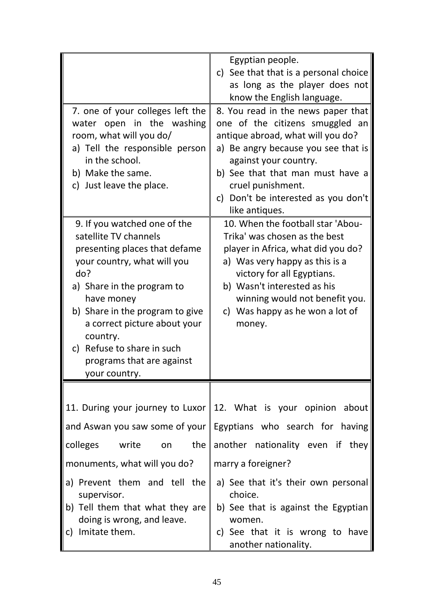|                                                                                                                                                                                                                                                                                                                                     | Egyptian people.<br>c) See that that is a personal choice<br>as long as the player does not<br>know the English language.                                                                                                                                                                    |
|-------------------------------------------------------------------------------------------------------------------------------------------------------------------------------------------------------------------------------------------------------------------------------------------------------------------------------------|----------------------------------------------------------------------------------------------------------------------------------------------------------------------------------------------------------------------------------------------------------------------------------------------|
| 7. one of your colleges left the<br>water open in the washing<br>room, what will you do/<br>a) Tell the responsible person<br>in the school.<br>b) Make the same.<br>c) Just leave the place.                                                                                                                                       | 8. You read in the news paper that<br>one of the citizens smuggled an<br>antique abroad, what will you do?<br>a) Be angry because you see that is<br>against your country.<br>b) See that that man must have a<br>cruel punishment.<br>c) Don't be interested as you don't<br>like antiques. |
| 9. If you watched one of the<br>satellite TV channels<br>presenting places that defame<br>your country, what will you<br>do?<br>a) Share in the program to<br>have money<br>b) Share in the program to give<br>a correct picture about your<br>country.<br>c) Refuse to share in such<br>programs that are against<br>your country. | 10. When the football star 'Abou-<br>Trika' was chosen as the best<br>player in Africa, what did you do?<br>a) Was very happy as this is a<br>victory for all Egyptians.<br>b) Wasn't interested as his<br>winning would not benefit you.<br>c) Was happy as he won a lot of<br>money.       |
| the<br>colleges<br>write<br>on                                                                                                                                                                                                                                                                                                      | 11. During your journey to Luxor 12. What is your opinion about<br>and Aswan you saw some of your   Egyptians who search for having<br>another nationality even if they                                                                                                                      |
| monuments, what will you do?                                                                                                                                                                                                                                                                                                        | marry a foreigner?                                                                                                                                                                                                                                                                           |
| a) Prevent them and tell the<br>supervisor.<br>b) Tell them that what they are<br>doing is wrong, and leave.<br>c) Imitate them.                                                                                                                                                                                                    | a) See that it's their own personal<br>choice.<br>b) See that is against the Egyptian<br>women.<br>c) See that it is wrong to have<br>another nationality.                                                                                                                                   |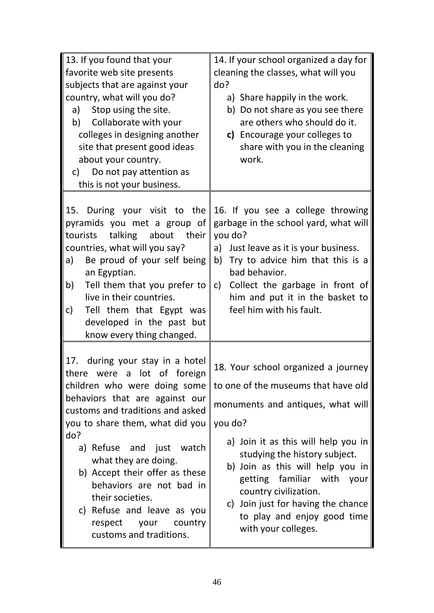| 13. If you found that your<br>favorite web site presents<br>subjects that are against your<br>country, what will you do?<br>Stop using the site.<br>a)<br>Collaborate with your<br>b)<br>colleges in designing another<br>site that present good ideas<br>about your country.<br>c) Do not pay attention as<br>this is not your business.                                                                                                   | 14. If your school organized a day for<br>cleaning the classes, what will you<br>do?<br>a) Share happily in the work.<br>b) Do not share as you see there<br>are others who should do it.<br>c) Encourage your colleges to<br>share with you in the cleaning<br>work.                                                                                                                     |  |  |  |
|---------------------------------------------------------------------------------------------------------------------------------------------------------------------------------------------------------------------------------------------------------------------------------------------------------------------------------------------------------------------------------------------------------------------------------------------|-------------------------------------------------------------------------------------------------------------------------------------------------------------------------------------------------------------------------------------------------------------------------------------------------------------------------------------------------------------------------------------------|--|--|--|
| pyramids you met a group of<br>talking about their<br>tourists<br>countries, what will you say?<br>Be proud of your self being<br>a)<br>an Egyptian.<br>Tell them that you prefer to<br>b)<br>live in their countries.<br>Tell them that Egypt was<br>C)<br>developed in the past but<br>know every thing changed.                                                                                                                          | 15. During your visit to the 16. If you see a college throwing<br>garbage in the school yard, what will<br>you do?<br>a)<br>Just leave as it is your business.<br>Try to advice him that this is a<br>b)<br>bad behavior.<br>Collect the garbage in front of<br>c)<br>him and put it in the basket to<br>feel him with his fault.                                                         |  |  |  |
| 17. during your stay in a hotel<br>there were a lot of foreign<br>children who were doing some<br>behaviors that are against our<br>customs and traditions and asked<br>you to share them, what did you<br>do?<br>a) Refuse and just watch<br>what they are doing.<br>b) Accept their offer as these<br>behaviors are not bad in<br>their societies.<br>c) Refuse and leave as you<br>your<br>country<br>respect<br>customs and traditions. | 18. Your school organized a journey<br>to one of the museums that have old<br>monuments and antiques, what will<br>you do?<br>a) Join it as this will help you in<br>studying the history subject.<br>b) Join as this will help you in<br>getting familiar with your<br>country civilization.<br>c) Join just for having the chance<br>to play and enjoy good time<br>with your colleges. |  |  |  |